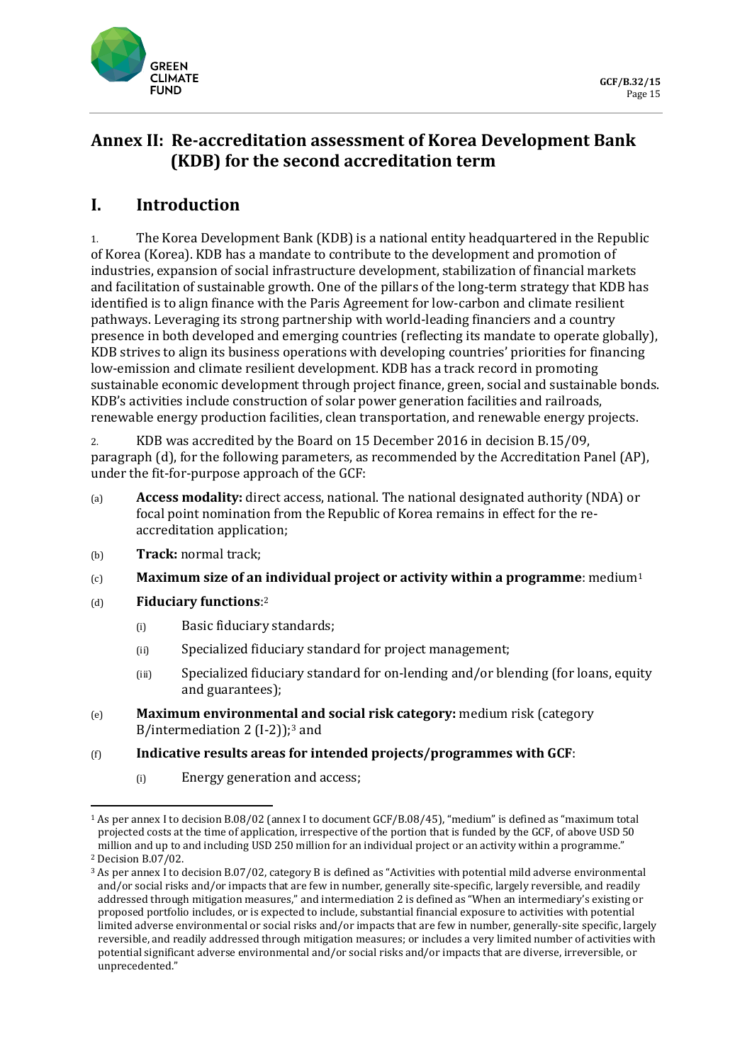

# **Annex II: Re-accreditation assessment of Korea Development Bank (KDB) for the second accreditation term**

# **I. Introduction**

1. The Korea Development Bank (KDB) is a national entity headquartered in the Republic of Korea (Korea). KDB has a mandate to contribute to the development and promotion of industries, expansion of social infrastructure development, stabilization of financial markets and facilitation of sustainable growth. One of the pillars of the long-term strategy that KDB has identified is to align finance with the Paris Agreement for low-carbon and climate resilient pathways. Leveraging its strong partnership with world-leading financiers and a country presence in both developed and emerging countries (reflecting its mandate to operate globally), KDB strives to align its business operations with developing countries' priorities for financing low-emission and climate resilient development. KDB has a track record in promoting sustainable economic development through project finance, green, social and sustainable bonds. KDB's activities include construction of solar power generation facilities and railroads, renewable energy production facilities, clean transportation, and renewable energy projects.

2. KDB was accredited by the Board on 15 December 2016 in decision B.15/09, paragraph (d), for the following parameters, as recommended by the Accreditation Panel (AP), under the fit-for-purpose approach of the GCF:

- (a) **Access modality:** direct access, national. The national designated authority (NDA) or focal point nomination from the Republic of Korea remains in effect for the reaccreditation application;
- (b) **Track:** normal track;
- (c) **Maximum size of an individual project or activity within a programme**: mediu[m1](#page-0-0)
- (d) **Fiduciary functions**:[2](#page-0-1)
	- (i) Basic fiduciary standards;
	- (ii) Specialized fiduciary standard for project management;
	- (iii) Specialized fiduciary standard for on-lending and/or blending (for loans, equity and guarantees);
- (e) **Maximum environmental and social risk category:** medium risk (category B/intermediation 2  $(I-2)$ ;<sup>[3](#page-0-2)</sup> and

### (f) **Indicative results areas for intended projects/programmes with GCF**:

(i) Energy generation and access;

<span id="page-0-0"></span><sup>1</sup> As per annex I to decision B.08/02 (annex I to document GCF/B.08/45), "medium" is defined as "maximum total projected costs at the time of application, irrespective of the portion that is funded by the GCF, of above USD 50 million and up to and including USD 250 million for an individual project or an activity within a programme." <sup>2</sup> Decision B.07/02.

<span id="page-0-2"></span><span id="page-0-1"></span><sup>3</sup> As per annex I to decision B.07/02, category B is defined as "Activities with potential mild adverse environmental and/or social risks and/or impacts that are few in number, generally site-specific, largely reversible, and readily addressed through mitigation measures," and intermediation 2 is defined as "When an intermediary's existing or proposed portfolio includes, or is expected to include, substantial financial exposure to activities with potential limited adverse environmental or social risks and/or impacts that are few in number, generally-site specific, largely reversible, and readily addressed through mitigation measures; or includes a very limited number of activities with potential significant adverse environmental and/or social risks and/or impacts that are diverse, irreversible, or unprecedented."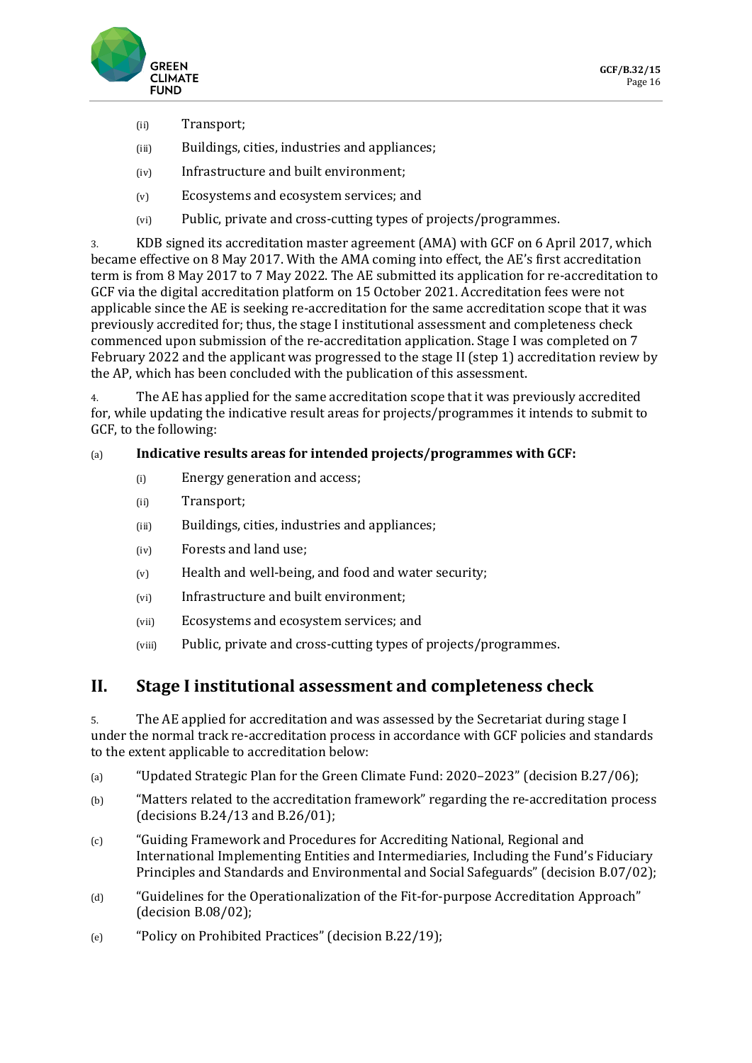

- (ii) Transport;
- (iii) Buildings, cities, industries and appliances;
- (iv) Infrastructure and built environment;
- (v) Ecosystems and ecosystem services; and
- (vi) Public, private and cross-cutting types of projects/programmes.

3. KDB signed its accreditation master agreement (AMA) with GCF on 6 April 2017, which became effective on 8 May 2017. With the AMA coming into effect, the AE's first accreditation term is from 8 May 2017 to 7 May 2022. The AE submitted its application for re-accreditation to GCF via the digital accreditation platform on 15 October 2021. Accreditation fees were not applicable since the AE is seeking re-accreditation for the same accreditation scope that it was previously accredited for; thus, the stage I institutional assessment and completeness check commenced upon submission of the re-accreditation application. Stage I was completed on 7 February 2022 and the applicant was progressed to the stage II (step 1) accreditation review by the AP, which has been concluded with the publication of this assessment.

4. The AE has applied for the same accreditation scope that it was previously accredited for, while updating the indicative result areas for projects/programmes it intends to submit to GCF, to the following:

### (a) **Indicative results areas for intended projects/programmes with GCF:**

- (i) Energy generation and access;
- (ii) Transport;
- (iii) Buildings, cities, industries and appliances;
- (iv) Forests and land use;
- (v) Health and well-being, and food and water security;
- (vi) Infrastructure and built environment;
- (vii) Ecosystems and ecosystem services; and
- (viii) Public, private and cross-cutting types of projects/programmes.

# **II. Stage I institutional assessment and completeness check**

5. The AE applied for accreditation and was assessed by the Secretariat during stage I under the normal track re-accreditation process in accordance with GCF policies and standards to the extent applicable to accreditation below:

- (a) "Updated Strategic Plan for the Green Climate Fund: 2020–2023" (decision B.27/06);
- (b) "Matters related to the accreditation framework" regarding the re-accreditation process (decisions B.24/13 and B.26/01);
- (c) "Guiding Framework and Procedures for Accrediting National, Regional and International Implementing Entities and Intermediaries, Including the Fund's Fiduciary Principles and Standards and Environmental and Social Safeguards" (decision B.07/02);
- (d) "Guidelines for the Operationalization of the Fit-for-purpose Accreditation Approach" (decision B.08/02);
- (e) "Policy on Prohibited Practices" (decision B.22/19);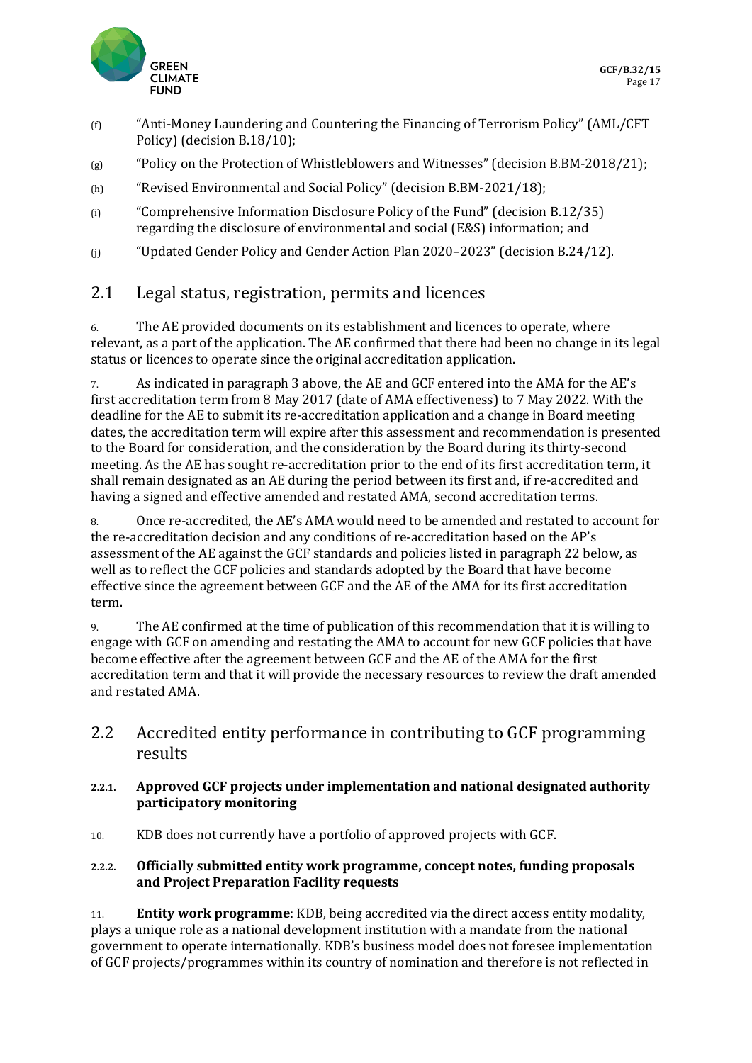

- (f) "Anti-Money Laundering and Countering the Financing of Terrorism Policy" (AML/CFT Policy) (decision B.18/10);
- (g) "Policy on the Protection of Whistleblowers and Witnesses" (decision B.BM-2018/21);
- (h) "Revised Environmental and Social Policy" (decision B.BM-2021/18);
- (i) "Comprehensive Information Disclosure Policy of the Fund" (decision B.12/35) regarding the disclosure of environmental and social (E&S) information; and
- (j) "Updated Gender Policy and Gender Action Plan 2020–2023" (decision B.24/12).

# 2.1 Legal status, registration, permits and licences

6. The AE provided documents on its establishment and licences to operate, where relevant, as a part of the application. The AE confirmed that there had been no change in its legal status or licences to operate since the original accreditation application.

7. As indicated in paragraph 3 above, the AE and GCF entered into the AMA for the AE's first accreditation term from 8 May 2017 (date of AMA effectiveness) to 7 May 2022. With the deadline for the AE to submit its re-accreditation application and a change in Board meeting dates, the accreditation term will expire after this assessment and recommendation is presented to the Board for consideration, and the consideration by the Board during its thirty-second meeting. As the AE has sought re-accreditation prior to the end of its first accreditation term, it shall remain designated as an AE during the period between its first and, if re-accredited and having a signed and effective amended and restated AMA, second accreditation terms.

8. Once re-accredited, the AE's AMA would need to be amended and restated to account for the re-accreditation decision and any conditions of re-accreditation based on the AP's assessment of the AE against the GCF standards and policies listed in paragraph 22 below, as well as to reflect the GCF policies and standards adopted by the Board that have become effective since the agreement between GCF and the AE of the AMA for its first accreditation term.

9. The AE confirmed at the time of publication of this recommendation that it is willing to engage with GCF on amending and restating the AMA to account for new GCF policies that have become effective after the agreement between GCF and the AE of the AMA for the first accreditation term and that it will provide the necessary resources to review the draft amended and restated AMA.

2.2 Accredited entity performance in contributing to GCF programming results

### **2.2.1. Approved GCF projects under implementation and national designated authority participatory monitoring**

10. KDB does not currently have a portfolio of approved projects with GCF.

### **2.2.2. Officially submitted entity work programme, concept notes, funding proposals and Project Preparation Facility requests**

11. **Entity work programme**: KDB, being accredited via the direct access entity modality, plays a unique role as a national development institution with a mandate from the national government to operate internationally. KDB's business model does not foresee implementation of GCF projects/programmes within its country of nomination and therefore is not reflected in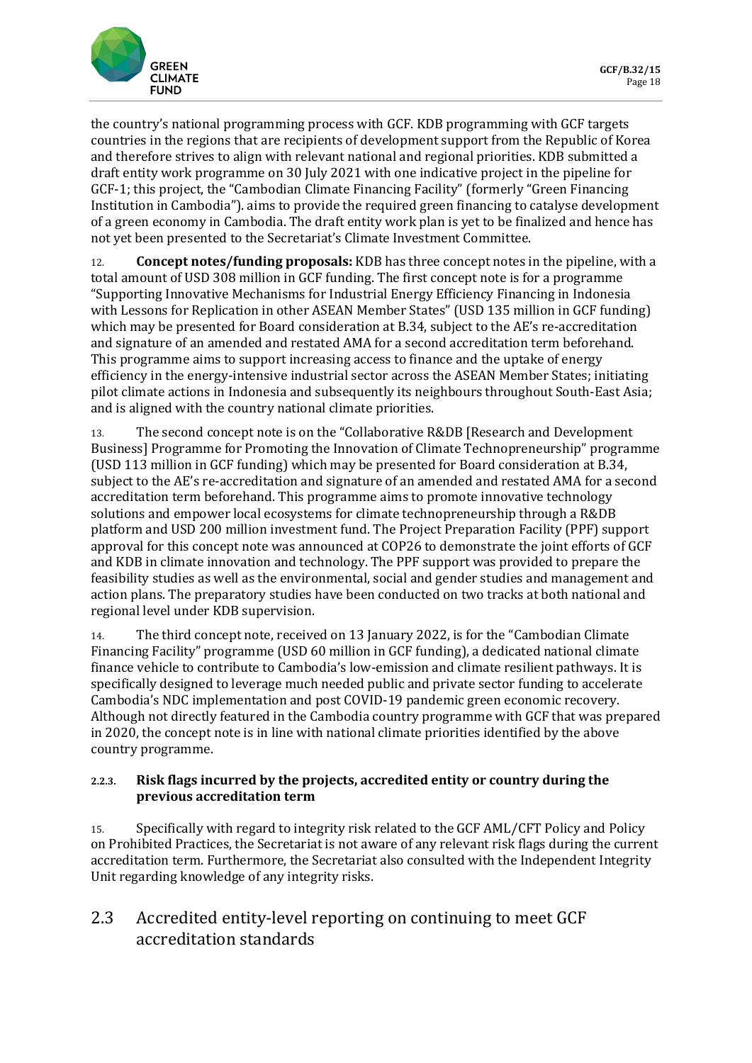

the country's national programming process with GCF. KDB programming with GCF targets countries in the regions that are recipients of development support from the Republic of Korea and therefore strives to align with relevant national and regional priorities. KDB submitted a draft entity work programme on 30 July 2021 with one indicative project in the pipeline for GCF-1; this project, the "Cambodian Climate Financing Facility" (formerly "Green Financing Institution in Cambodia"). aims to provide the required green financing to catalyse development of a green economy in Cambodia. The draft entity work plan is yet to be finalized and hence has not yet been presented to the Secretariat's Climate Investment Committee.

12. **Concept notes/funding proposals:** KDB has three concept notes in the pipeline, with a total amount of USD 308 million in GCF funding. The first concept note is for a programme "Supporting Innovative Mechanisms for Industrial Energy Efficiency Financing in Indonesia with Lessons for Replication in other ASEAN Member States" (USD 135 million in GCF funding) which may be presented for Board consideration at B.34, subject to the AE's re-accreditation and signature of an amended and restated AMA for a second accreditation term beforehand. This programme aims to support increasing access to finance and the uptake of energy efficiency in the energy-intensive industrial sector across the ASEAN Member States; initiating pilot climate actions in Indonesia and subsequently its neighbours throughout South-East Asia; and is aligned with the country national climate priorities.

13. The second concept note is on the "Collaborative R&DB [Research and Development Business] Programme for Promoting the Innovation of Climate Technopreneurship" programme (USD 113 million in GCF funding) which may be presented for Board consideration at B.34, subject to the AE's re-accreditation and signature of an amended and restated AMA for a second accreditation term beforehand. This programme aims to promote innovative technology solutions and empower local ecosystems for climate technopreneurship through a R&DB platform and USD 200 million investment fund. The Project Preparation Facility (PPF) support approval for this concept note was announced at COP26 to demonstrate the joint efforts of GCF and KDB in climate innovation and technology. The PPF support was provided to prepare the feasibility studies as well as the environmental, social and gender studies and management and action plans. The preparatory studies have been conducted on two tracks at both national and regional level under KDB supervision.

14. The third concept note, received on 13 January 2022, is for the "Cambodian Climate Financing Facility" programme (USD 60 million in GCF funding), a dedicated national climate finance vehicle to contribute to Cambodia's low-emission and climate resilient pathways. It is specifically designed to leverage much needed public and private sector funding to accelerate Cambodia's NDC implementation and post COVID-19 pandemic green economic recovery. Although not directly featured in the Cambodia country programme with GCF that was prepared in 2020, the concept note is in line with national climate priorities identified by the above country programme.

### **2.2.3. Risk flags incurred by the projects, accredited entity or country during the previous accreditation term**

15. Specifically with regard to integrity risk related to the GCF AML/CFT Policy and Policy on Prohibited Practices, the Secretariat is not aware of any relevant risk flags during the current accreditation term. Furthermore, the Secretariat also consulted with the Independent Integrity Unit regarding knowledge of any integrity risks.

# 2.3 Accredited entity-level reporting on continuing to meet GCF accreditation standards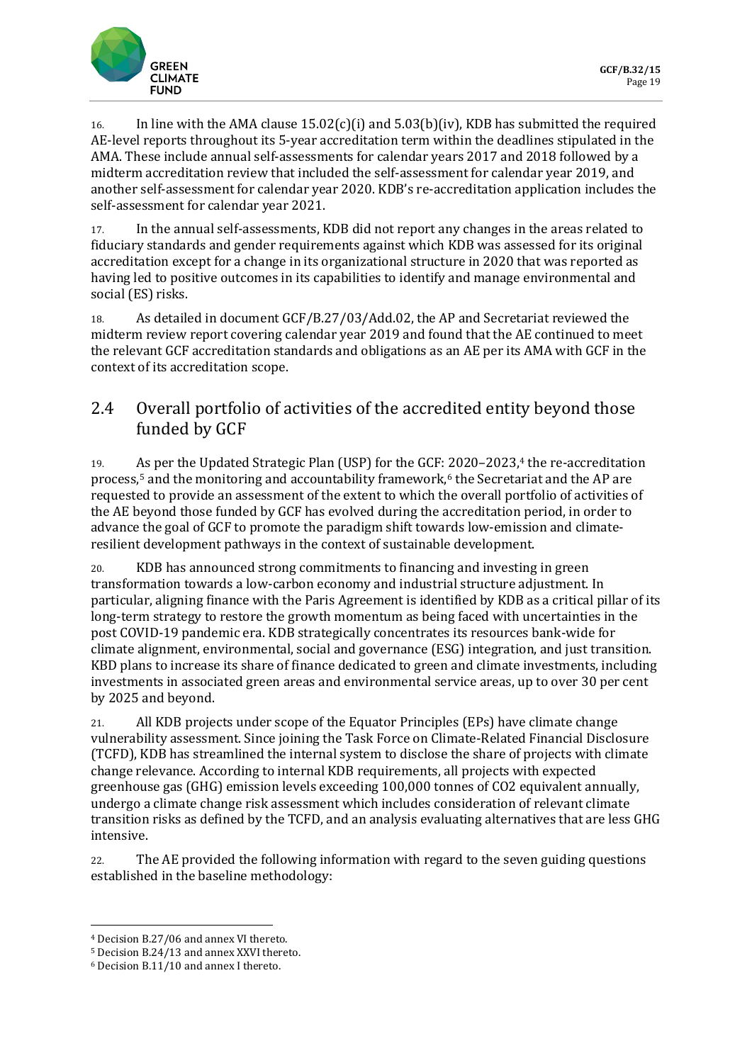

16. In line with the AMA clause  $15.02(c)(i)$  and  $5.03(b)(iv)$ , KDB has submitted the required AE-level reports throughout its 5-year accreditation term within the deadlines stipulated in the AMA. These include annual self-assessments for calendar years 2017 and 2018 followed by a midterm accreditation review that included the self-assessment for calendar year 2019, and another self-assessment for calendar year 2020. KDB's re-accreditation application includes the self-assessment for calendar year 2021.

17. In the annual self-assessments, KDB did not report any changes in the areas related to fiduciary standards and gender requirements against which KDB was assessed for its original accreditation except for a change in its organizational structure in 2020 that was reported as having led to positive outcomes in its capabilities to identify and manage environmental and social (ES) risks.

18. As detailed in document GCF/B.27/03/Add.02, the AP and Secretariat reviewed the midterm review report covering calendar year 2019 and found that the AE continued to meet the relevant GCF accreditation standards and obligations as an AE per its AMA with GCF in the context of its accreditation scope.

# 2.4 Overall portfolio of activities of the accredited entity beyond those funded by GCF

19. As per the Updated Strategic Plan (USP) for the GCF: 2020–2023,<sup>[4](#page-4-0)</sup> the re-accreditation process, $5$  and the monitoring and accountability framework, $6$  the Secretariat and the AP are requested to provide an assessment of the extent to which the overall portfolio of activities of the AE beyond those funded by GCF has evolved during the accreditation period, in order to advance the goal of GCF to promote the paradigm shift towards low-emission and climateresilient development pathways in the context of sustainable development.

20. KDB has announced strong commitments to financing and investing in green transformation towards a low-carbon economy and industrial structure adjustment. In particular, aligning finance with the Paris Agreement is identified by KDB as a critical pillar of its long-term strategy to restore the growth momentum as being faced with uncertainties in the post COVID-19 pandemic era. KDB strategically concentrates its resources bank-wide for climate alignment, environmental, social and governance (ESG) integration, and just transition. KBD plans to increase its share of finance dedicated to green and climate investments, including investments in associated green areas and environmental service areas, up to over 30 per cent by 2025 and beyond.

21. All KDB projects under scope of the Equator Principles (EPs) have climate change vulnerability assessment. Since joining the Task Force on Climate-Related Financial Disclosure (TCFD), KDB has streamlined the internal system to disclose the share of projects with climate change relevance. According to internal KDB requirements, all projects with expected greenhouse gas (GHG) emission levels exceeding 100,000 tonnes of CO2 equivalent annually, undergo a climate change risk assessment which includes consideration of relevant climate transition risks as defined by the TCFD, and an analysis evaluating alternatives that are less GHG intensive.

22. The AE provided the following information with regard to the seven guiding questions established in the baseline methodology:

<span id="page-4-0"></span><sup>4</sup> Decision B.27/06 and annex VI thereto.

<span id="page-4-1"></span><sup>5</sup> Decision B.24/13 and annex XXVI thereto.

<span id="page-4-2"></span><sup>6</sup> Decision B.11/10 and annex I thereto.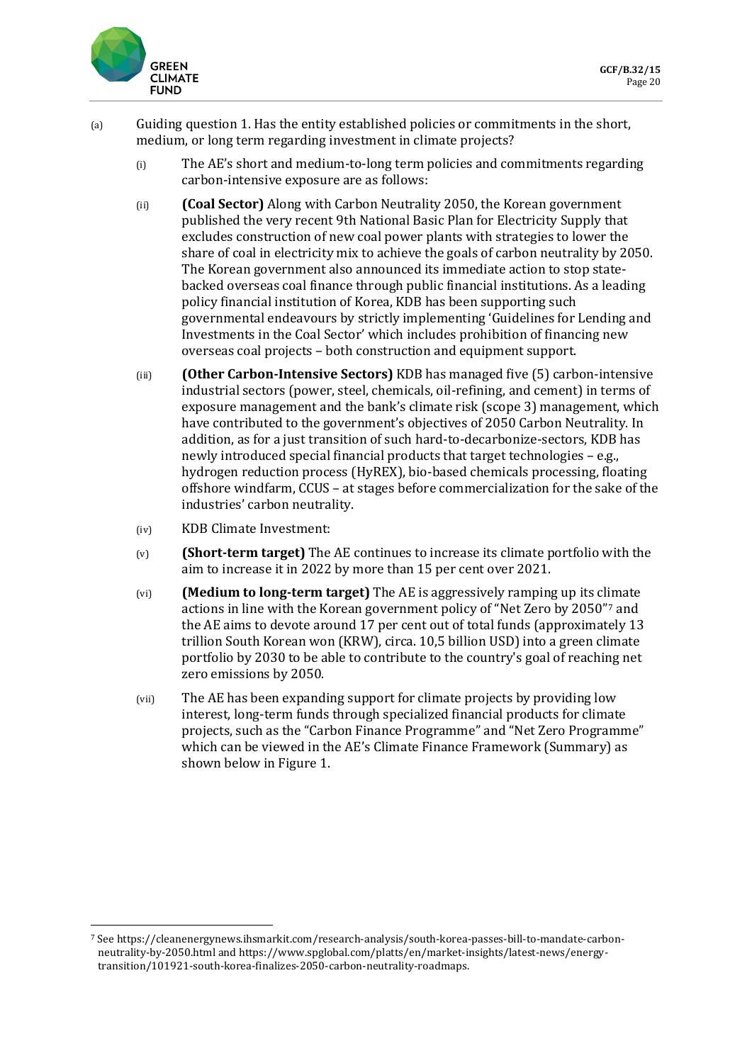

- (a) Guiding question 1. Has the entity established policies or commitments in the short, medium, or long term regarding investment in climate projects?
	- (i) The AE's short and medium-to-long term policies and commitments regarding carbon-intensive exposure are as follows:
	- (ii) **(Coal Sector)** Along with Carbon Neutrality 2050, the Korean government published the very recent 9th National Basic Plan for Electricity Supply that excludes construction of new coal power plants with strategies to lower the share of coal in electricity mix to achieve the goals of carbon neutrality by 2050. The Korean government also announced its immediate action to stop statebacked overseas coal finance through public financial institutions. As a leading policy financial institution of Korea, KDB has been supporting such governmental endeavours by strictly implementing 'Guidelines for Lending and Investments in the Coal Sector' which includes prohibition of financing new overseas coal projects – both construction and equipment support.
	- (iii) **(Other Carbon-Intensive Sectors)** KDB has managed five (5) carbon-intensive industrial sectors (power, steel, chemicals, oil-refining, and cement) in terms of exposure management and the bank's climate risk (scope 3) management, which have contributed to the government's objectives of 2050 Carbon Neutrality. In addition, as for a just transition of such hard-to-decarbonize-sectors, KDB has newly introduced special financial products that target technologies – e.g., hydrogen reduction process (HyREX), bio-based chemicals processing, floating offshore windfarm, CCUS – at stages before commercialization for the sake of the industries' carbon neutrality.
	- (iv) KDB Climate Investment:
	- (v) **(Short-term target)** The AE continues to increase its climate portfolio with the aim to increase it in 2022 by more than 15 per cent over 2021.
	- (vi) **(Medium to long-term target)** The AE is aggressively ramping up its climate actions in line with the Korean government policy of "Net Zero by 2050"[7](#page-5-0) and the AE aims to devote around 17 per cent out of total funds (approximately 13 trillion South Korean won (KRW), circa. 10,5 billion USD) into a green climate portfolio by 2030 to be able to contribute to the country's goal of reaching net zero emissions by 2050.
	- (vii) The AE has been expanding support for climate projects by providing low interest, long-term funds through specialized financial products for climate projects, such as the "Carbon Finance Programme" and "Net Zero Programme" which can be viewed in the AE's Climate Finance Framework (Summary) as shown below in Figure 1.

<span id="page-5-0"></span><sup>7</sup> See https://cleanenergynews.ihsmarkit.com/research-analysis/south-korea-passes-bill-to-mandate-carbonneutrality-by-2050.html an[d https://www.spglobal.com/platts/en/market-insights/latest-news/energy](https://www.spglobal.com/platts/en/market-insights/latest-news/energy-transition/101921-south-korea-finalizes-2050-carbon-neutrality-roadmaps)[transition/101921-south-korea-finalizes-2050-carbon-neutrality-roadmaps.](https://www.spglobal.com/platts/en/market-insights/latest-news/energy-transition/101921-south-korea-finalizes-2050-carbon-neutrality-roadmaps)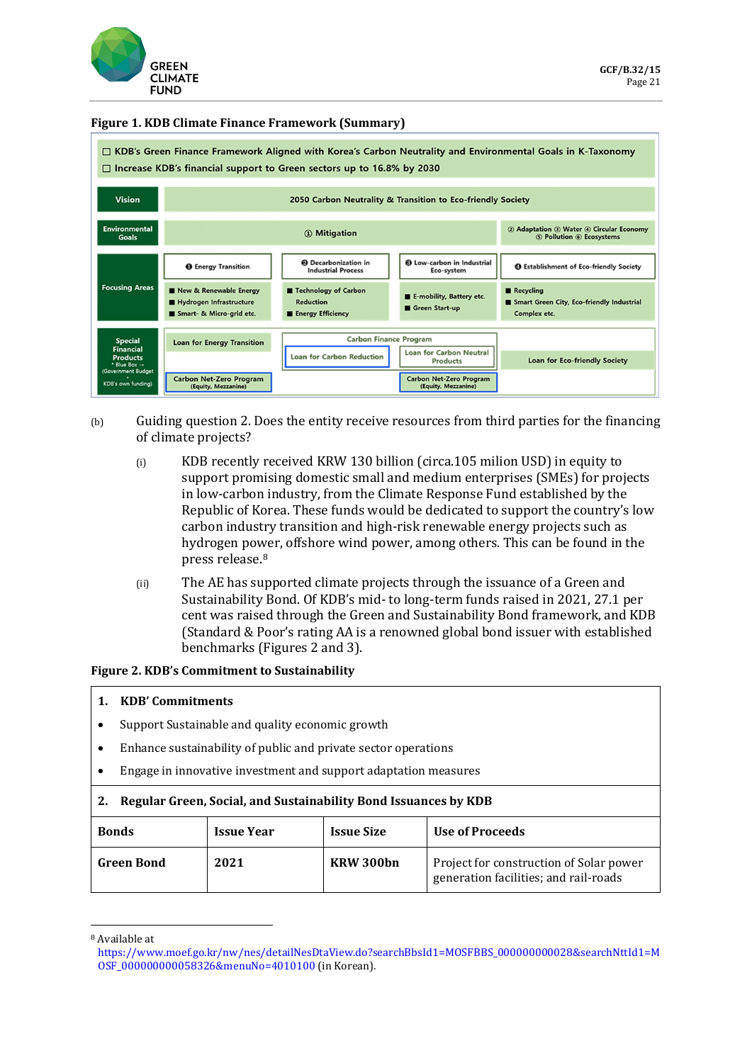

#### **Figure 1. KDB Climate Finance Framework (Summary)**

| □ KDB's Green Finance Framework Aligned with Korea's Carbon Neutrality and Environmental Goals in K-Taxonomy<br>□ Increase KDB's financial support to Green sectors up to 16.8% by 2030 |                                                                               |                                                                      |                                                                     |                                                                        |  |  |
|-----------------------------------------------------------------------------------------------------------------------------------------------------------------------------------------|-------------------------------------------------------------------------------|----------------------------------------------------------------------|---------------------------------------------------------------------|------------------------------------------------------------------------|--|--|
| <b>Vision</b>                                                                                                                                                                           | 2050 Carbon Neutrality & Transition to Eco-friendly Society                   |                                                                      |                                                                     |                                                                        |  |  |
| Environmental<br><b>Goals</b>                                                                                                                                                           |                                                                               |                                                                      | 2 Adaptation 3 Water 4 Circular Economy<br>5 Pollution 6 Ecosystems |                                                                        |  |  |
|                                                                                                                                                                                         | <b>O</b> Energy Transition                                                    | <b>@</b> Decarbonization in<br><b>Industrial Process</b>             | <b>6</b> Low-carbon in Industrial<br>Eco-system                     | <b>@ Establishment of Eco-friendly Society</b>                         |  |  |
| <b>Focusing Areas</b>                                                                                                                                                                   | New & Renewable Energy<br>Hydrogen Infrastructure<br>Smart- & Micro-grid etc. | Technology of Carbon<br><b>Reduction</b><br><b>Energy Efficiency</b> | E-mobility, Battery etc.<br>Green Start-up                          | Recycling<br>Smart Green City, Eco-friendly Industrial<br>Complex etc. |  |  |
| <b>Carbon Finance Program</b>                                                                                                                                                           |                                                                               |                                                                      |                                                                     |                                                                        |  |  |
| <b>Special</b><br><b>Financial</b>                                                                                                                                                      | <b>Loan for Energy Transition</b>                                             | <b>Loan for Carbon Reduction</b>                                     | <b>Loan for Carbon Neutral</b>                                      |                                                                        |  |  |
| <b>Products</b><br>* Blue Box $\rightarrow$<br>(Government Budget                                                                                                                       |                                                                               |                                                                      | <b>Products</b>                                                     | <b>Loan for Eco-friendly Society</b>                                   |  |  |
| KDB's own funding)                                                                                                                                                                      | <b>Carbon Net-Zero Program</b><br>(Equity, Mezzanine)                         |                                                                      | <b>Carbon Net-Zero Program</b><br>(Equity, Mezzanine)               |                                                                        |  |  |

- (b) Guiding question 2. Does the entity receive resources from third parties for the financing of climate projects?
	- (i) KDB recently received KRW 130 billion (circa.105 milion USD) in equity to support promising domestic small and medium enterprises (SMEs) for projects in low-carbon industry, from the Climate Response Fund established by the Republic of Korea. These funds would be dedicated to support the country's low carbon industry transition and high-risk renewable energy projects such as hydrogen power, offshore wind power, among others. This can be found in the press release.[8](#page-6-0)
	- (ii) The AE has supported climate projects through the issuance of a Green and Sustainability Bond. Of KDB's mid- to long-term funds raised in 2021, 27.1 per cent was raised through the Green and Sustainability Bond framework, and KDB (Standard & Poor's rating AA is a renowned global bond issuer with established benchmarks (Figures 2 and 3).

#### **Figure 2. KDB's Commitment to Sustainability**

#### **1. KDB' Commitments**

- Support Sustainable and quality economic growth
- Enhance sustainability of public and private sector operations
- Engage in innovative investment and support adaptation measures

#### **2. Regular Green, Social, and Sustainability Bond Issuances by KDB**

| <b>Bonds</b>      | <b>Issue Year</b> | <b>Issue Size</b> | Use of Proceeds                                                                  |
|-------------------|-------------------|-------------------|----------------------------------------------------------------------------------|
| <b>Green Bond</b> | 2021              | KRW 300bn         | Project for construction of Solar power<br>generation facilities; and rail-roads |

<span id="page-6-0"></span><sup>8</sup> Available at

[https://www.moef.go.kr/nw/nes/detailNesDtaView.do?searchBbsId1=MOSFBBS\\_000000000028&searchNttId1=M](https://www.moef.go.kr/nw/nes/detailNesDtaView.do?searchBbsId1=MOSFBBS_000000000028&searchNttId1=MOSF_000000000058326&menuNo=4010100) [OSF\\_000000000058326&menuNo=4010100](https://www.moef.go.kr/nw/nes/detailNesDtaView.do?searchBbsId1=MOSFBBS_000000000028&searchNttId1=MOSF_000000000058326&menuNo=4010100) (in Korean).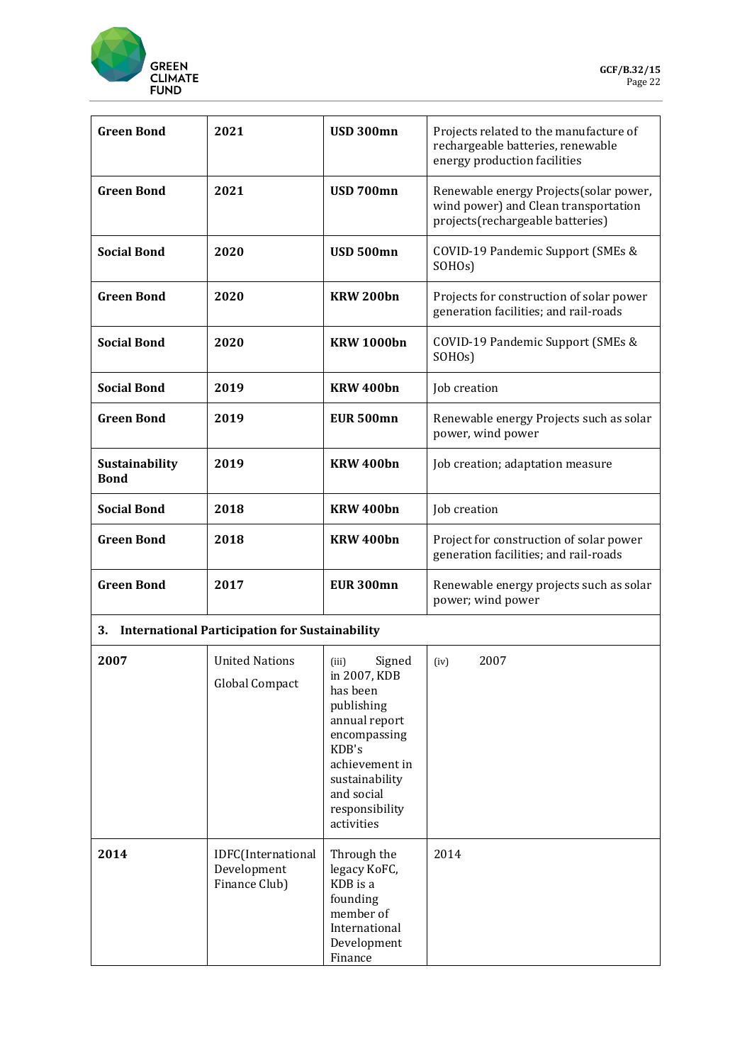

| <b>Green Bond</b>             | 2021                                                  | <b>USD 300mn</b>                                                                                                                                                                      | Projects related to the manufacture of<br>rechargeable batteries, renewable<br>energy production facilities        |  |
|-------------------------------|-------------------------------------------------------|---------------------------------------------------------------------------------------------------------------------------------------------------------------------------------------|--------------------------------------------------------------------------------------------------------------------|--|
| <b>Green Bond</b>             | 2021                                                  | <b>USD 700mn</b>                                                                                                                                                                      | Renewable energy Projects(solar power,<br>wind power) and Clean transportation<br>projects(rechargeable batteries) |  |
| <b>Social Bond</b>            | 2020                                                  | USD 500mn                                                                                                                                                                             | COVID-19 Pandemic Support (SMEs &<br>SOHO <sub>s</sub> )                                                           |  |
| <b>Green Bond</b>             | 2020                                                  | <b>KRW 200bn</b>                                                                                                                                                                      | Projects for construction of solar power<br>generation facilities; and rail-roads                                  |  |
| <b>Social Bond</b>            | 2020                                                  | <b>KRW 1000bn</b>                                                                                                                                                                     | COVID-19 Pandemic Support (SMEs &<br>SOHO <sub>s</sub> )                                                           |  |
| <b>Social Bond</b>            | 2019                                                  | KRW 400bn                                                                                                                                                                             | Job creation                                                                                                       |  |
| <b>Green Bond</b>             | 2019                                                  | <b>EUR 500mn</b>                                                                                                                                                                      | Renewable energy Projects such as solar<br>power, wind power                                                       |  |
| Sustainability<br><b>Bond</b> | 2019                                                  | KRW 400bn                                                                                                                                                                             | Job creation; adaptation measure                                                                                   |  |
| <b>Social Bond</b>            | 2018                                                  | KRW 400bn                                                                                                                                                                             | Job creation                                                                                                       |  |
| <b>Green Bond</b>             | 2018                                                  | KRW 400bn                                                                                                                                                                             | Project for construction of solar power<br>generation facilities; and rail-roads                                   |  |
| <b>Green Bond</b>             | 2017                                                  | <b>EUR 300mn</b>                                                                                                                                                                      | Renewable energy projects such as solar<br>power; wind power                                                       |  |
| 3.                            | <b>International Participation for Sustainability</b> |                                                                                                                                                                                       |                                                                                                                    |  |
| 2007                          | <b>United Nations</b><br>Global Compact               | Signed<br>(iii)<br>in 2007, KDB<br>has been<br>publishing<br>annual report<br>encompassing<br>KDB's<br>achievement in<br>sustainability<br>and social<br>responsibility<br>activities | 2007<br>(iv)                                                                                                       |  |
| 2014                          | IDFC(International<br>Development<br>Finance Club)    | Through the<br>legacy KoFC,<br>KDB is a<br>founding<br>member of<br>International<br>Development<br>Finance                                                                           | 2014                                                                                                               |  |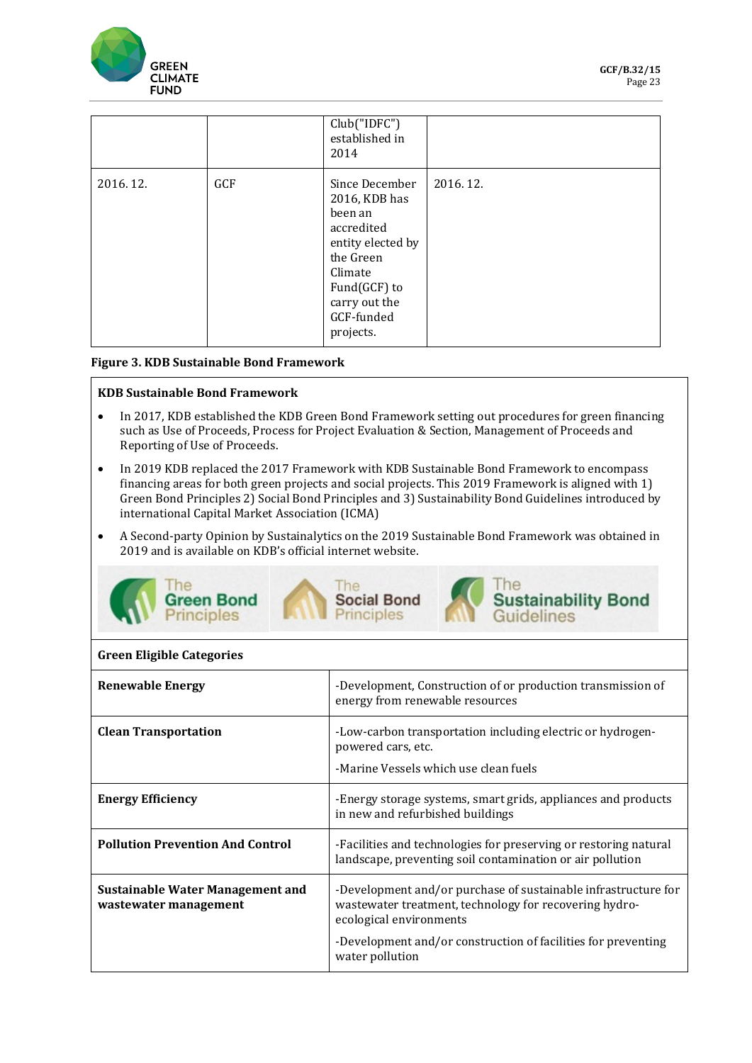

|          |     | Club("IDFC")<br>established in<br>2014                                                                                                                            |          |
|----------|-----|-------------------------------------------------------------------------------------------------------------------------------------------------------------------|----------|
| 2016.12. | GCF | Since December<br>2016, KDB has<br>been an<br>accredited<br>entity elected by<br>the Green<br>Climate<br>Fund(GCF) to<br>carry out the<br>GCF-funded<br>projects. | 2016.12. |

#### **Figure 3. KDB Sustainable Bond Framework**

#### **KDB Sustainable Bond Framework**

- In 2017, KDB established the KDB Green Bond Framework setting out procedures for green financing such as Use of Proceeds, Process for Project Evaluation & Section, Management of Proceeds and Reporting of Use of Proceeds.
- In 2019 KDB replaced the 2017 Framework with KDB Sustainable Bond Framework to encompass financing areas for both green projects and social projects. This 2019 Framework is aligned with 1) Green Bond Principles 2) Social Bond Principles and 3) Sustainability Bond Guidelines introduced by international Capital Market Association (ICMA)
- A Second-party Opinion by Sustainalytics on the 2019 Sustainable Bond Framework was obtained in 2019 and is available on KDB's official internet website.



#### **Green Eligible Categories**

| <b>Renewable Energy</b>                                   | -Development, Construction of or production transmission of<br>energy from renewable resources                                                                                                                                          |
|-----------------------------------------------------------|-----------------------------------------------------------------------------------------------------------------------------------------------------------------------------------------------------------------------------------------|
| <b>Clean Transportation</b>                               | -Low-carbon transportation including electric or hydrogen-<br>powered cars, etc.<br>-Marine Vessels which use clean fuels                                                                                                               |
| <b>Energy Efficiency</b>                                  | -Energy storage systems, smart grids, appliances and products<br>in new and refurbished buildings                                                                                                                                       |
| <b>Pollution Prevention And Control</b>                   | -Facilities and technologies for preserving or restoring natural<br>landscape, preventing soil contamination or air pollution                                                                                                           |
| Sustainable Water Management and<br>wastewater management | -Development and/or purchase of sustainable infrastructure for<br>wastewater treatment, technology for recovering hydro-<br>ecological environments<br>-Development and/or construction of facilities for preventing<br>water pollution |
|                                                           |                                                                                                                                                                                                                                         |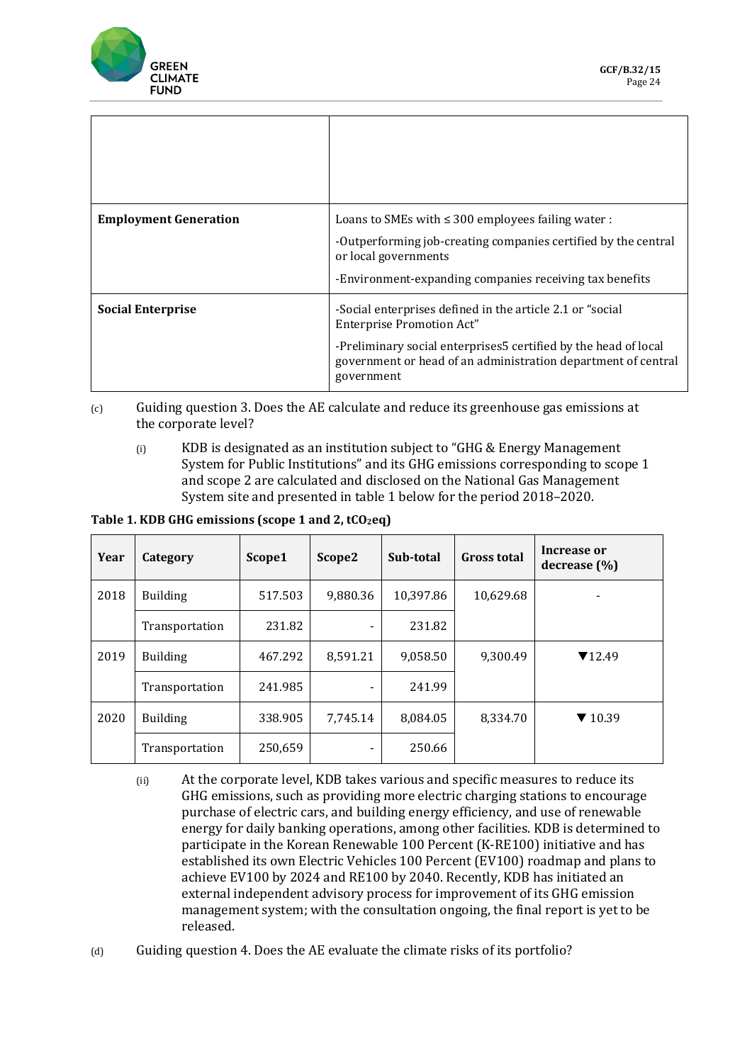

| <b>Employment Generation</b> | Loans to SMEs with $\leq$ 300 employees failing water :<br>-Outperforming job-creating companies certified by the central<br>or local governments<br>-Environment-expanding companies receiving tax benefits                                    |
|------------------------------|-------------------------------------------------------------------------------------------------------------------------------------------------------------------------------------------------------------------------------------------------|
| <b>Social Enterprise</b>     | -Social enterprises defined in the article 2.1 or "social<br><b>Enterprise Promotion Act"</b><br>-Preliminary social enterprises5 certified by the head of local<br>government or head of an administration department of central<br>government |

- (c) Guiding question 3. Does the AE calculate and reduce its greenhouse gas emissions at the corporate level?
	- (i) KDB is designated as an institution subject to "GHG & Energy Management System for Public Institutions" and its GHG emissions corresponding to scope 1 and scope 2 are calculated and disclosed on the National Gas Management System site and presented in table 1 below for the period 2018–2020.

Table 1. KDB GHG emissions (scope 1 and 2, tCO<sub>2</sub>eq)

| Year | Category        | Scope1  | Scope2   | Sub-total | <b>Gross total</b> | Increase or<br>decrease $(\% )$ |
|------|-----------------|---------|----------|-----------|--------------------|---------------------------------|
| 2018 | <b>Building</b> | 517.503 | 9,880.36 | 10,397.86 | 10,629.68          |                                 |
|      | Transportation  | 231.82  |          | 231.82    |                    |                                 |
| 2019 | <b>Building</b> | 467.292 | 8.591.21 | 9,058.50  | 9.300.49           | $\Pi$ 12.49                     |
|      | Transportation  | 241.985 |          | 241.99    |                    |                                 |
| 2020 | <b>Building</b> | 338.905 | 7,745.14 | 8,084.05  | 8,334.70           | $\blacktriangledown$ 10.39      |
|      | Transportation  | 250,659 |          | 250.66    |                    |                                 |

- (ii) At the corporate level, KDB takes various and specific measures to reduce its GHG emissions, such as providing more electric charging stations to encourage purchase of electric cars, and building energy efficiency, and use of renewable energy for daily banking operations, among other facilities. KDB is determined to participate in the Korean Renewable 100 Percent (K-RE100) initiative and has established its own Electric Vehicles 100 Percent (EV100) roadmap and plans to achieve EV100 by 2024 and RE100 by 2040. Recently, KDB has initiated an external independent advisory process for improvement of its GHG emission management system; with the consultation ongoing, the final report is yet to be released.
- (d) Guiding question 4. Does the AE evaluate the climate risks of its portfolio?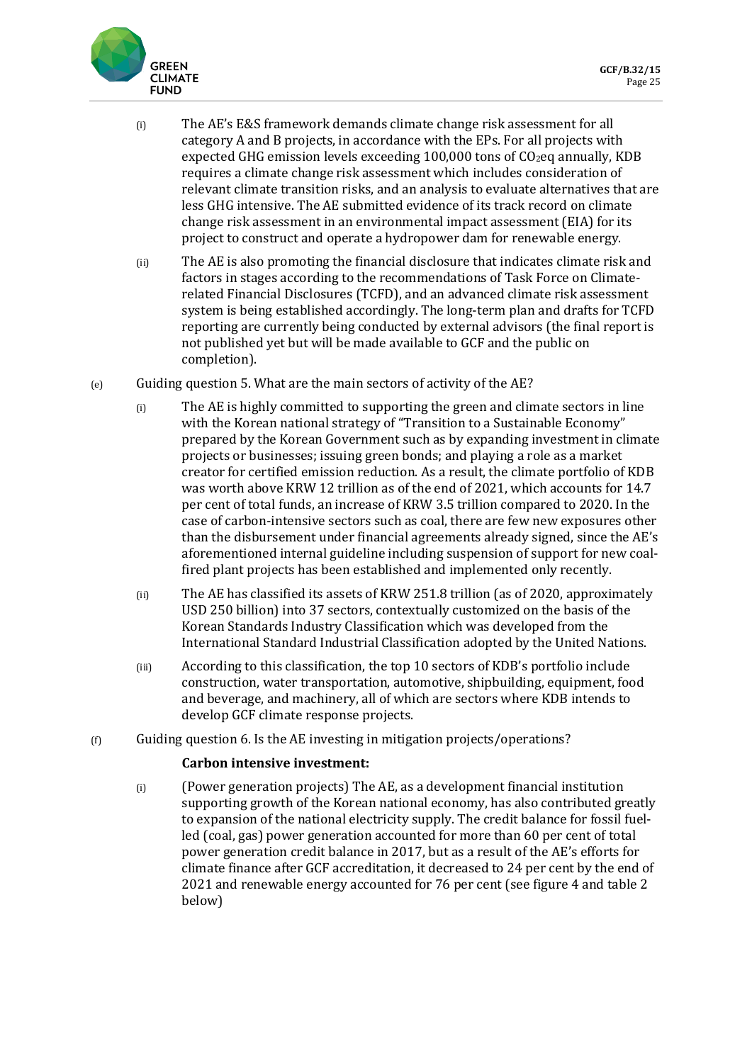

- (i) The AE's E&S framework demands climate change risk assessment for all category A and B projects, in accordance with the EPs. For all projects with expected GHG emission levels exceeding  $100,000$  tons of  $CO<sub>2</sub>$ eq annually, KDB requires a climate change risk assessment which includes consideration of relevant climate transition risks, and an analysis to evaluate alternatives that are less GHG intensive. The AE submitted evidence of its track record on climate change risk assessment in an environmental impact assessment (EIA) for its project to construct and operate a hydropower dam for renewable energy.
- (ii) The AE is also promoting the financial disclosure that indicates climate risk and factors in stages according to the recommendations of Task Force on Climaterelated Financial Disclosures (TCFD), and an advanced climate risk assessment system is being established accordingly. The long-term plan and drafts for TCFD reporting are currently being conducted by external advisors (the final report is not published yet but will be made available to GCF and the public on completion).
- (e) Guiding question 5. What are the main sectors of activity of the AE?
	- (i) The AE is highly committed to supporting the green and climate sectors in line with the Korean national strategy of "Transition to a Sustainable Economy" prepared by the Korean Government such as by expanding investment in climate projects or businesses; issuing green bonds; and playing a role as a market creator for certified emission reduction. As a result, the climate portfolio of KDB was worth above KRW 12 trillion as of the end of 2021, which accounts for 14.7 per cent of total funds, an increase of KRW 3.5 trillion compared to 2020. In the case of carbon-intensive sectors such as coal, there are few new exposures other than the disbursement under financial agreements already signed, since the AE's aforementioned internal guideline including suspension of support for new coalfired plant projects has been established and implemented only recently.
	- (ii) The AE has classified its assets of KRW 251.8 trillion (as of 2020, approximately USD 250 billion) into 37 sectors, contextually customized on the basis of the Korean Standards Industry Classification which was developed from the International Standard Industrial Classification adopted by the United Nations.
	- (iii) According to this classification, the top 10 sectors of KDB's portfolio include construction, water transportation, automotive, shipbuilding, equipment, food and beverage, and machinery, all of which are sectors where KDB intends to develop GCF climate response projects.
- $(f)$  Guiding question 6. Is the AE investing in mitigation projects/operations?

### **Carbon intensive investment:**

(i) (Power generation projects) The AE, as a development financial institution supporting growth of the Korean national economy, has also contributed greatly to expansion of the national electricity supply. The credit balance for fossil fuelled (coal, gas) power generation accounted for more than 60 per cent of total power generation credit balance in 2017, but as a result of the AE's efforts for climate finance after GCF accreditation, it decreased to 24 per cent by the end of 2021 and renewable energy accounted for 76 per cent (see figure 4 and table 2 below)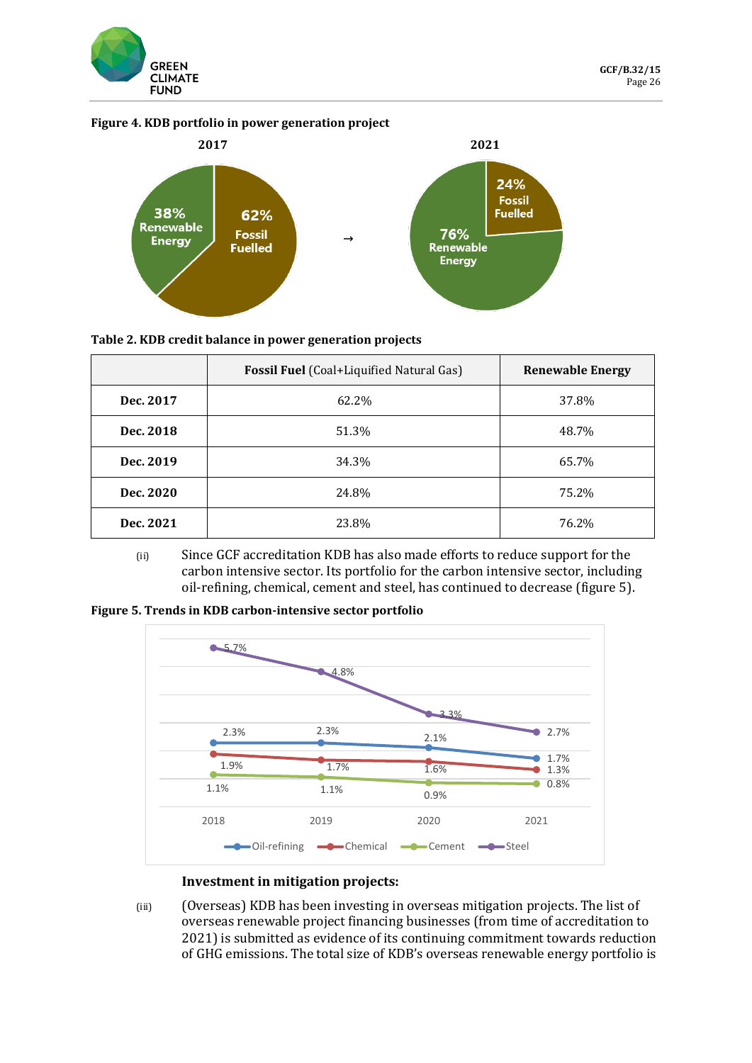

#### **Figure 4. KDB portfolio in power generation project**



#### **Table 2. KDB credit balance in power generation projects**

|           | <b>Fossil Fuel</b> (Coal+Liquified Natural Gas) | <b>Renewable Energy</b> |
|-----------|-------------------------------------------------|-------------------------|
| Dec. 2017 | 62.2%                                           | 37.8%                   |
| Dec. 2018 | 51.3%                                           | 48.7%                   |
| Dec. 2019 | 34.3%                                           | 65.7%                   |
| Dec. 2020 | 24.8%                                           | 75.2%                   |
| Dec. 2021 | 23.8%                                           | 76.2%                   |

(ii) Since GCF accreditation KDB has also made efforts to reduce support for the carbon intensive sector. Its portfolio for the carbon intensive sector, including oil-refining, chemical, cement and steel, has continued to decrease (figure 5).

**Figure 5. Trends in KDB carbon-intensive sector portfolio**



#### **Investment in mitigation projects:**

(iii) (Overseas) KDB has been investing in overseas mitigation projects. The list of overseas renewable project financing businesses (from time of accreditation to 2021) is submitted as evidence of its continuing commitment towards reduction of GHG emissions. The total size of KDB's overseas renewable energy portfolio is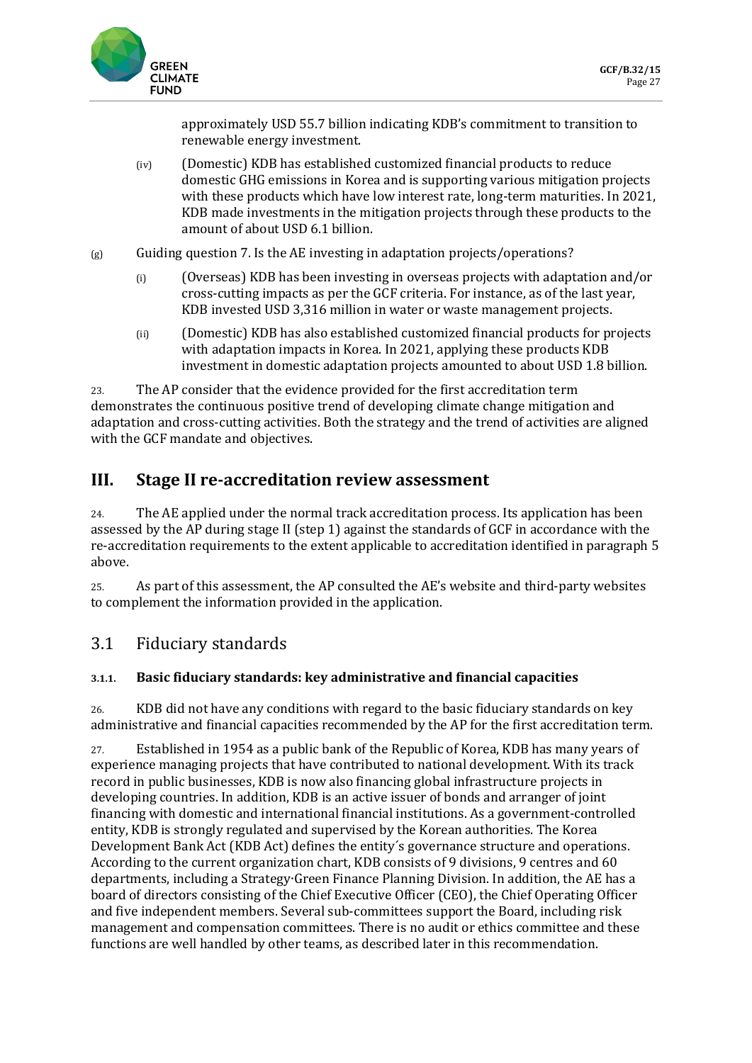

approximately USD 55.7 billion indicating KDB's commitment to transition to renewable energy investment.

- (iv) (Domestic) KDB has established customized financial products to reduce domestic GHG emissions in Korea and is supporting various mitigation projects with these products which have low interest rate, long-term maturities. In 2021, KDB made investments in the mitigation projects through these products to the amount of about USD 6.1 billion.
- $(g)$  Guiding question 7. Is the AE investing in adaptation projects/operations?
	- (i) (Overseas) KDB has been investing in overseas projects with adaptation and/or cross-cutting impacts as per the GCF criteria. For instance, as of the last year, KDB invested USD 3,316 million in water or waste management projects.
	- (ii) (Domestic) KDB has also established customized financial products for projects with adaptation impacts in Korea. In 2021, applying these products KDB investment in domestic adaptation projects amounted to about USD 1.8 billion.

23. The AP consider that the evidence provided for the first accreditation term demonstrates the continuous positive trend of developing climate change mitigation and adaptation and cross-cutting activities. Both the strategy and the trend of activities are aligned with the GCF mandate and objectives.

# **III. Stage II re-accreditation review assessment**

24. The AE applied under the normal track accreditation process. Its application has been assessed by the AP during stage II (step 1) against the standards of GCF in accordance with the re-accreditation requirements to the extent applicable to accreditation identified in paragraph 5 above.

25. As part of this assessment, the AP consulted the AE's website and third-party websites to complement the information provided in the application.

# 3.1 Fiduciary standards

## **3.1.1. Basic fiduciary standards: key administrative and financial capacities**

26. KDB did not have any conditions with regard to the basic fiduciary standards on key administrative and financial capacities recommended by the AP for the first accreditation term.

27. Established in 1954 as a public bank of the Republic of Korea, KDB has many years of experience managing projects that have contributed to national development. With its track record in public businesses, KDB is now also financing global infrastructure projects in developing countries. In addition, KDB is an active issuer of bonds and arranger of joint financing with domestic and international financial institutions. As a government-controlled entity, KDB is strongly regulated and supervised by the Korean authorities. The Korea Development Bank Act (KDB Act) defines the entity´s governance structure and operations. According to the current organization chart, KDB consists of 9 divisions, 9 centres and 60 departments, including a Strategy∙Green Finance Planning Division. In addition, the AE has a board of directors consisting of the Chief Executive Officer (CEO), the Chief Operating Officer and five independent members. Several sub-committees support the Board, including risk management and compensation committees. There is no audit or ethics committee and these functions are well handled by other teams, as described later in this recommendation.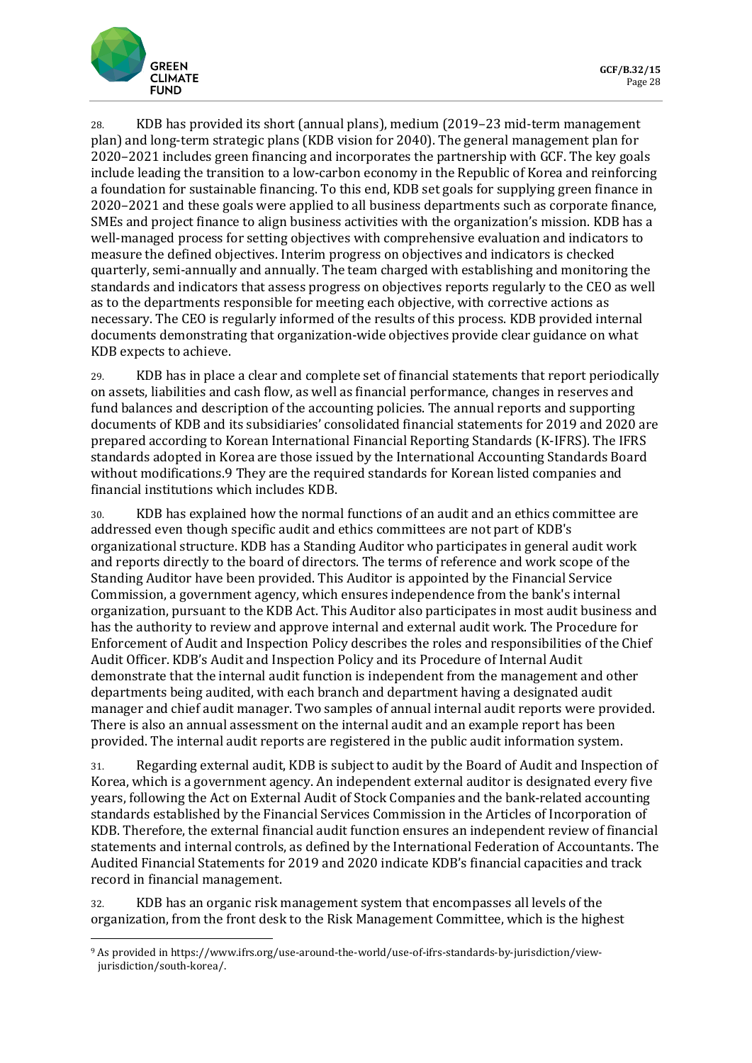

28. KDB has provided its short (annual plans), medium (2019–23 mid-term management plan) and long-term strategic plans (KDB vision for 2040). The general management plan for 2020–2021 includes green financing and incorporates the partnership with GCF. The key goals include leading the transition to a low-carbon economy in the Republic of Korea and reinforcing a foundation for sustainable financing. To this end, KDB set goals for supplying green finance in 2020–2021 and these goals were applied to all business departments such as corporate finance, SMEs and project finance to align business activities with the organization's mission. KDB has a well-managed process for setting objectives with comprehensive evaluation and indicators to measure the defined objectives. Interim progress on objectives and indicators is checked quarterly, semi-annually and annually. The team charged with establishing and monitoring the standards and indicators that assess progress on objectives reports regularly to the CEO as well as to the departments responsible for meeting each objective, with corrective actions as necessary. The CEO is regularly informed of the results of this process. KDB provided internal documents demonstrating that organization-wide objectives provide clear guidance on what KDB expects to achieve.

29. KDB has in place a clear and complete set of financial statements that report periodically on assets, liabilities and cash flow, as well as financial performance, changes in reserves and fund balances and description of the accounting policies. The annual reports and supporting documents of KDB and its subsidiaries' consolidated financial statements for 2019 and 2020 are prepared according to Korean International Financial Reporting Standards (K-IFRS). The IFRS standards adopted in Korea are those issued by the International Accounting Standards Board without modifications[.9](#page-13-0) They are the required standards for Korean listed companies and financial institutions which includes KDB.

30. KDB has explained how the normal functions of an audit and an ethics committee are addressed even though specific audit and ethics committees are not part of KDB's organizational structure. KDB has a Standing Auditor who participates in general audit work and reports directly to the board of directors. The terms of reference and work scope of the Standing Auditor have been provided. This Auditor is appointed by the Financial Service Commission, a government agency, which ensures independence from the bank's internal organization, pursuant to the KDB Act. This Auditor also participates in most audit business and has the authority to review and approve internal and external audit work. The Procedure for Enforcement of Audit and Inspection Policy describes the roles and responsibilities of the Chief Audit Officer. KDB's Audit and Inspection Policy and its Procedure of Internal Audit demonstrate that the internal audit function is independent from the management and other departments being audited, with each branch and department having a designated audit manager and chief audit manager. Two samples of annual internal audit reports were provided. There is also an annual assessment on the internal audit and an example report has been provided. The internal audit reports are registered in the public audit information system.

31. Regarding external audit, KDB is subject to audit by the Board of Audit and Inspection of Korea, which is a government agency. An independent external auditor is designated every five years, following the Act on External Audit of Stock Companies and the bank-related accounting standards established by the Financial Services Commission in the Articles of Incorporation of KDB. Therefore, the external financial audit function ensures an independent review of financial statements and internal controls, as defined by the International Federation of Accountants. The Audited Financial Statements for 2019 and 2020 indicate KDB's financial capacities and track record in financial management.

32. KDB has an organic risk management system that encompasses all levels of the organization, from the front desk to the Risk Management Committee, which is the highest

<span id="page-13-0"></span><sup>9</sup> As provided in https://www.ifrs.org/use-around-the-world/use-of-ifrs-standards-by-jurisdiction/viewjurisdiction/south-korea/.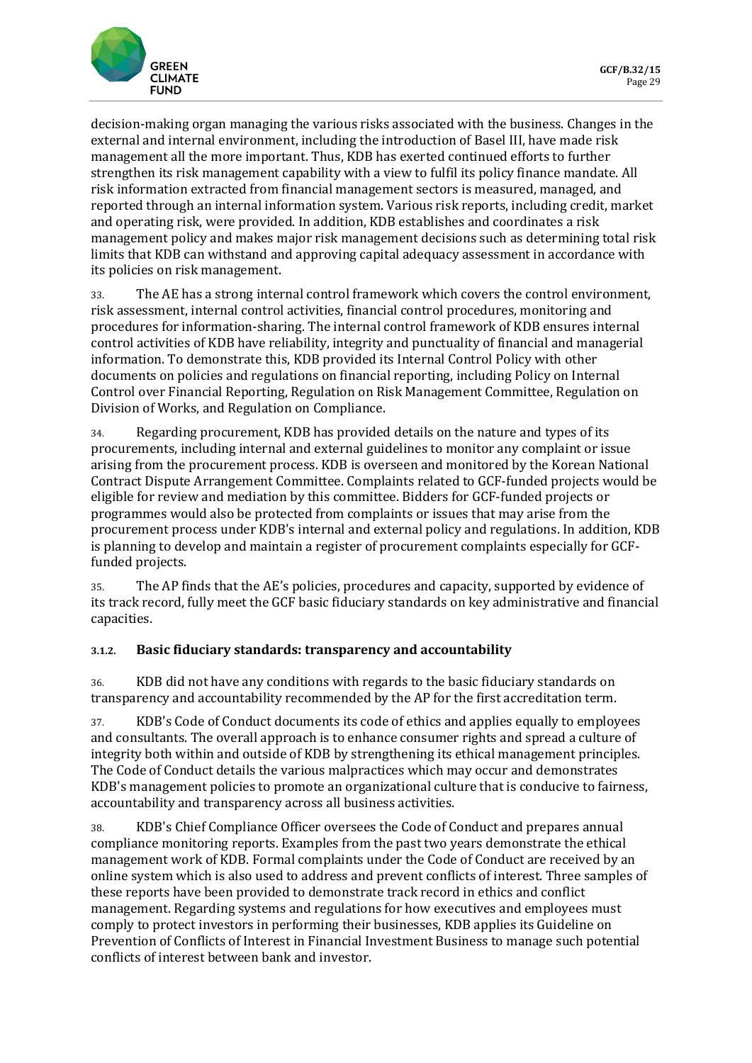

decision-making organ managing the various risks associated with the business. Changes in the external and internal environment, including the introduction of Basel III, have made risk management all the more important. Thus, KDB has exerted continued efforts to further strengthen its risk management capability with a view to fulfil its policy finance mandate. All risk information extracted from financial management sectors is measured, managed, and reported through an internal information system. Various risk reports, including credit, market and operating risk, were provided. In addition, KDB establishes and coordinates a risk management policy and makes major risk management decisions such as determining total risk limits that KDB can withstand and approving capital adequacy assessment in accordance with its policies on risk management.

33. The AE has a strong internal control framework which covers the control environment, risk assessment, internal control activities, financial control procedures, monitoring and procedures for information-sharing. The internal control framework of KDB ensures internal control activities of KDB have reliability, integrity and punctuality of financial and managerial information. To demonstrate this, KDB provided its Internal Control Policy with other documents on policies and regulations on financial reporting, including Policy on Internal Control over Financial Reporting, Regulation on Risk Management Committee, Regulation on Division of Works, and Regulation on Compliance.

34. Regarding procurement, KDB has provided details on the nature and types of its procurements, including internal and external guidelines to monitor any complaint or issue arising from the procurement process. KDB is overseen and monitored by the Korean National Contract Dispute Arrangement Committee. Complaints related to GCF-funded projects would be eligible for review and mediation by this committee. Bidders for GCF-funded projects or programmes would also be protected from complaints or issues that may arise from the procurement process under KDB's internal and external policy and regulations. In addition, KDB is planning to develop and maintain a register of procurement complaints especially for GCFfunded projects.

35. The AP finds that the AE's policies, procedures and capacity, supported by evidence of its track record, fully meet the GCF basic fiduciary standards on key administrative and financial capacities.

### **3.1.2. Basic fiduciary standards: transparency and accountability**

36. KDB did not have any conditions with regards to the basic fiduciary standards on transparency and accountability recommended by the AP for the first accreditation term.

37. KDB's Code of Conduct documents its code of ethics and applies equally to employees and consultants. The overall approach is to enhance consumer rights and spread a culture of integrity both within and outside of KDB by strengthening its ethical management principles. The Code of Conduct details the various malpractices which may occur and demonstrates KDB's management policies to promote an organizational culture that is conducive to fairness, accountability and transparency across all business activities.

38. KDB's Chief Compliance Officer oversees the Code of Conduct and prepares annual compliance monitoring reports. Examples from the past two years demonstrate the ethical management work of KDB. Formal complaints under the Code of Conduct are received by an online system which is also used to address and prevent conflicts of interest. Three samples of these reports have been provided to demonstrate track record in ethics and conflict management. Regarding systems and regulations for how executives and employees must comply to protect investors in performing their businesses, KDB applies its Guideline on Prevention of Conflicts of Interest in Financial Investment Business to manage such potential conflicts of interest between bank and investor.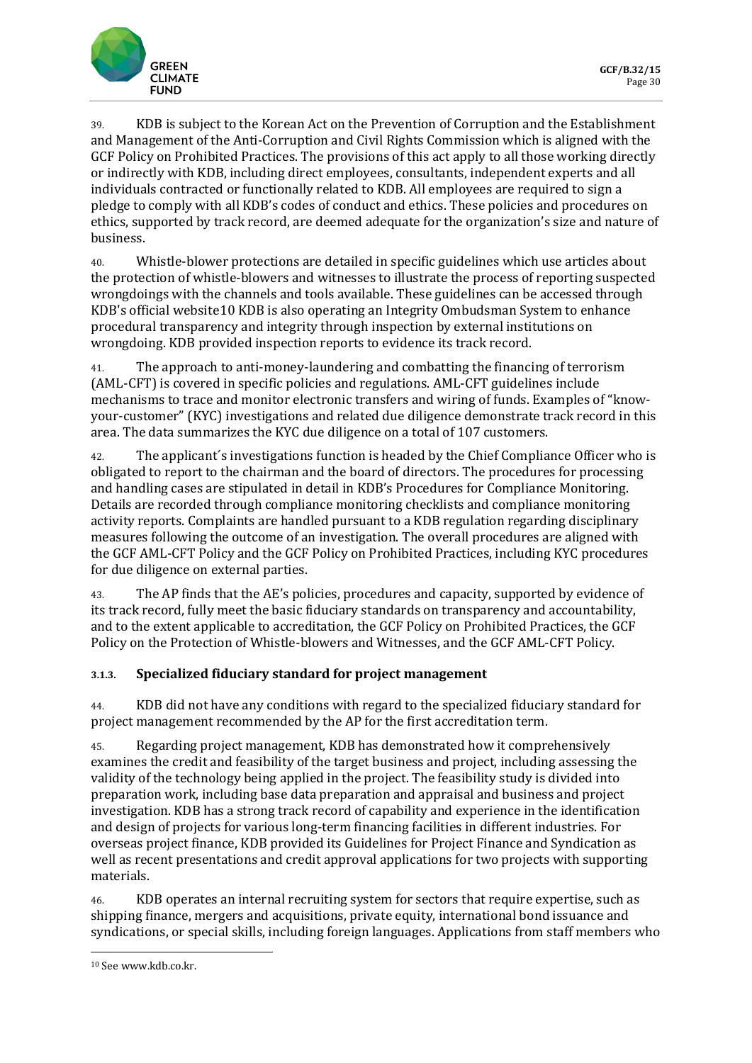

39. KDB is subject to the Korean Act on the Prevention of Corruption and the Establishment and Management of the Anti-Corruption and Civil Rights Commission which is aligned with the GCF Policy on Prohibited Practices. The provisions of this act apply to all those working directly or indirectly with KDB, including direct employees, consultants, independent experts and all individuals contracted or functionally related to KDB. All employees are required to sign a pledge to comply with all KDB's codes of conduct and ethics. These policies and procedures on ethics, supported by track record, are deemed adequate for the organization's size and nature of business.

40. Whistle-blower protections are detailed in specific guidelines which use articles about the protection of whistle-blowers and witnesses to illustrate the process of reporting suspected wrongdoings with the channels and tools available. These guidelines can be accessed through KDB's official website[10](#page-15-0) KDB is also operating an Integrity Ombudsman System to enhance procedural transparency and integrity through inspection by external institutions on wrongdoing. KDB provided inspection reports to evidence its track record.

41. The approach to anti-money-laundering and combatting the financing of terrorism (AML-CFT) is covered in specific policies and regulations. AML-CFT guidelines include mechanisms to trace and monitor electronic transfers and wiring of funds. Examples of "knowyour-customer" (KYC) investigations and related due diligence demonstrate track record in this area. The data summarizes the KYC due diligence on a total of 107 customers.

42. The applicant´s investigations function is headed by the Chief Compliance Officer who is obligated to report to the chairman and the board of directors. The procedures for processing and handling cases are stipulated in detail in KDB's Procedures for Compliance Monitoring. Details are recorded through compliance monitoring checklists and compliance monitoring activity reports. Complaints are handled pursuant to a KDB regulation regarding disciplinary measures following the outcome of an investigation. The overall procedures are aligned with the GCF AML-CFT Policy and the GCF Policy on Prohibited Practices, including KYC procedures for due diligence on external parties.

43. The AP finds that the AE's policies, procedures and capacity, supported by evidence of its track record, fully meet the basic fiduciary standards on transparency and accountability, and to the extent applicable to accreditation, the GCF Policy on Prohibited Practices, the GCF Policy on the Protection of Whistle-blowers and Witnesses, and the GCF AML-CFT Policy.

## **3.1.3. Specialized fiduciary standard for project management**

44. KDB did not have any conditions with regard to the specialized fiduciary standard for project management recommended by the AP for the first accreditation term.

45. Regarding project management, KDB has demonstrated how it comprehensively examines the credit and feasibility of the target business and project, including assessing the validity of the technology being applied in the project. The feasibility study is divided into preparation work, including base data preparation and appraisal and business and project investigation. KDB has a strong track record of capability and experience in the identification and design of projects for various long-term financing facilities in different industries. For overseas project finance, KDB provided its Guidelines for Project Finance and Syndication as well as recent presentations and credit approval applications for two projects with supporting materials.

46. KDB operates an internal recruiting system for sectors that require expertise, such as shipping finance, mergers and acquisitions, private equity, international bond issuance and syndications, or special skills, including foreign languages. Applications from staff members who

<span id="page-15-0"></span><sup>10</sup> See www.kdb.co.kr.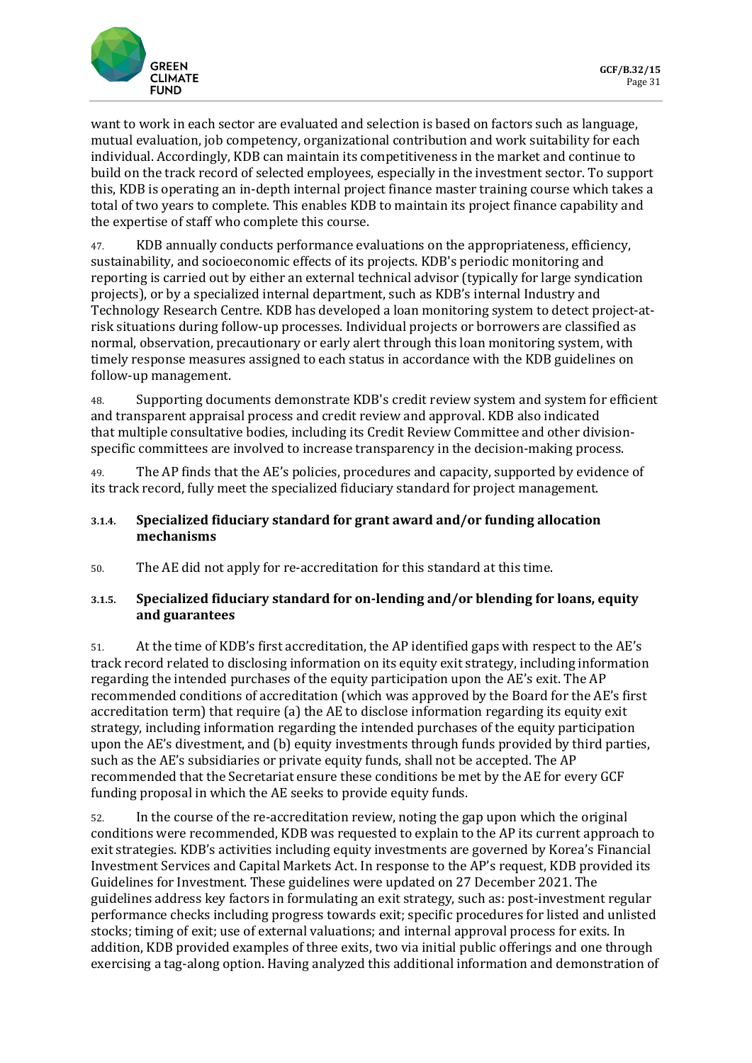

want to work in each sector are evaluated and selection is based on factors such as language, mutual evaluation, job competency, organizational contribution and work suitability for each individual. Accordingly, KDB can maintain its competitiveness in the market and continue to build on the track record of selected employees, especially in the investment sector. To support this, KDB is operating an in-depth internal project finance master training course which takes a total of two years to complete. This enables KDB to maintain its project finance capability and the expertise of staff who complete this course.

47. KDB annually conducts performance evaluations on the appropriateness, efficiency, sustainability, and socioeconomic effects of its projects. KDB's periodic monitoring and reporting is carried out by either an external technical advisor (typically for large syndication projects), or by a specialized internal department, such as KDB's internal Industry and Technology Research Centre. KDB has developed a loan monitoring system to detect project-atrisk situations during follow-up processes. Individual projects or borrowers are classified as normal, observation, precautionary or early alert through this loan monitoring system, with timely response measures assigned to each status in accordance with the KDB guidelines on follow-up management.

48. Supporting documents demonstrate KDB's credit review system and system for efficient and transparent appraisal process and credit review and approval. KDB also indicated that multiple consultative bodies, including its Credit Review Committee and other divisionspecific committees are involved to increase transparency in the decision-making process.

49. The AP finds that the AE's policies, procedures and capacity, supported by evidence of its track record, fully meet the specialized fiduciary standard for project management.

#### **3.1.4. Specialized fiduciary standard for grant award and/or funding allocation mechanisms**

50. The AE did not apply for re-accreditation for this standard at this time.

### **3.1.5. Specialized fiduciary standard for on-lending and/or blending for loans, equity and guarantees**

51. At the time of KDB's first accreditation, the AP identified gaps with respect to the AE's track record related to disclosing information on its equity exit strategy, including information regarding the intended purchases of the equity participation upon the AE's exit. The AP recommended conditions of accreditation (which was approved by the Board for the AE's first accreditation term) that require (a) the AE to disclose information regarding its equity exit strategy, including information regarding the intended purchases of the equity participation upon the AE's divestment, and (b) equity investments through funds provided by third parties, such as the AE's subsidiaries or private equity funds, shall not be accepted. The AP recommended that the Secretariat ensure these conditions be met by the AE for every GCF funding proposal in which the AE seeks to provide equity funds.

52. In the course of the re-accreditation review, noting the gap upon which the original conditions were recommended, KDB was requested to explain to the AP its current approach to exit strategies. KDB's activities including equity investments are governed by Korea's Financial Investment Services and Capital Markets Act. In response to the AP's request, KDB provided its Guidelines for Investment. These guidelines were updated on 27 December 2021. The guidelines address key factors in formulating an exit strategy, such as: post-investment regular performance checks including progress towards exit; specific procedures for listed and unlisted stocks; timing of exit; use of external valuations; and internal approval process for exits. In addition, KDB provided examples of three exits, two via initial public offerings and one through exercising a tag-along option. Having analyzed this additional information and demonstration of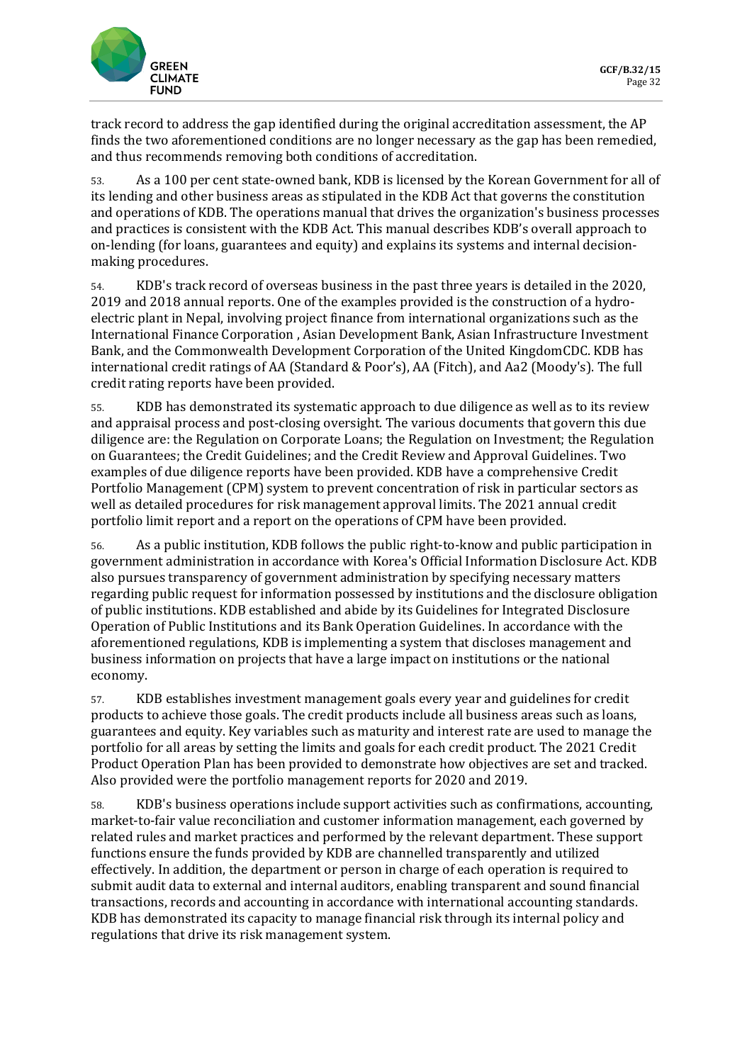

track record to address the gap identified during the original accreditation assessment, the AP finds the two aforementioned conditions are no longer necessary as the gap has been remedied, and thus recommends removing both conditions of accreditation.

53. As a 100 per cent state-owned bank, KDB is licensed by the Korean Government for all of its lending and other business areas as stipulated in the KDB Act that governs the constitution and operations of KDB. The operations manual that drives the organization's business processes and practices is consistent with the KDB Act. This manual describes KDB's overall approach to on-lending (for loans, guarantees and equity) and explains its systems and internal decisionmaking procedures.

54. KDB's track record of overseas business in the past three years is detailed in the 2020, 2019 and 2018 annual reports. One of the examples provided is the construction of a hydroelectric plant in Nepal, involving project finance from international organizations such as the International Finance Corporation , Asian Development Bank, Asian Infrastructure Investment Bank, and the Commonwealth Development Corporation of the United KingdomCDC. KDB has international credit ratings of AA (Standard & Poor's), AA (Fitch), and Aa2 (Moody's). The full credit rating reports have been provided.

55. KDB has demonstrated its systematic approach to due diligence as well as to its review and appraisal process and post-closing oversight. The various documents that govern this due diligence are: the Regulation on Corporate Loans; the Regulation on Investment; the Regulation on Guarantees; the Credit Guidelines; and the Credit Review and Approval Guidelines. Two examples of due diligence reports have been provided. KDB have a comprehensive Credit Portfolio Management (CPM) system to prevent concentration of risk in particular sectors as well as detailed procedures for risk management approval limits. The 2021 annual credit portfolio limit report and a report on the operations of CPM have been provided.

56. As a public institution, KDB follows the public right-to-know and public participation in government administration in accordance with Korea's Official Information Disclosure Act. KDB also pursues transparency of government administration by specifying necessary matters regarding public request for information possessed by institutions and the disclosure obligation of public institutions. KDB established and abide by its Guidelines for Integrated Disclosure Operation of Public Institutions and its Bank Operation Guidelines. In accordance with the aforementioned regulations, KDB is implementing a system that discloses management and business information on projects that have a large impact on institutions or the national economy.

57. KDB establishes investment management goals every year and guidelines for credit products to achieve those goals. The credit products include all business areas such as loans, guarantees and equity. Key variables such as maturity and interest rate are used to manage the portfolio for all areas by setting the limits and goals for each credit product. The 2021 Credit Product Operation Plan has been provided to demonstrate how objectives are set and tracked. Also provided were the portfolio management reports for 2020 and 2019.

58. KDB's business operations include support activities such as confirmations, accounting, market-to-fair value reconciliation and customer information management, each governed by related rules and market practices and performed by the relevant department. These support functions ensure the funds provided by KDB are channelled transparently and utilized effectively. In addition, the department or person in charge of each operation is required to submit audit data to external and internal auditors, enabling transparent and sound financial transactions, records and accounting in accordance with international accounting standards. KDB has demonstrated its capacity to manage financial risk through its internal policy and regulations that drive its risk management system.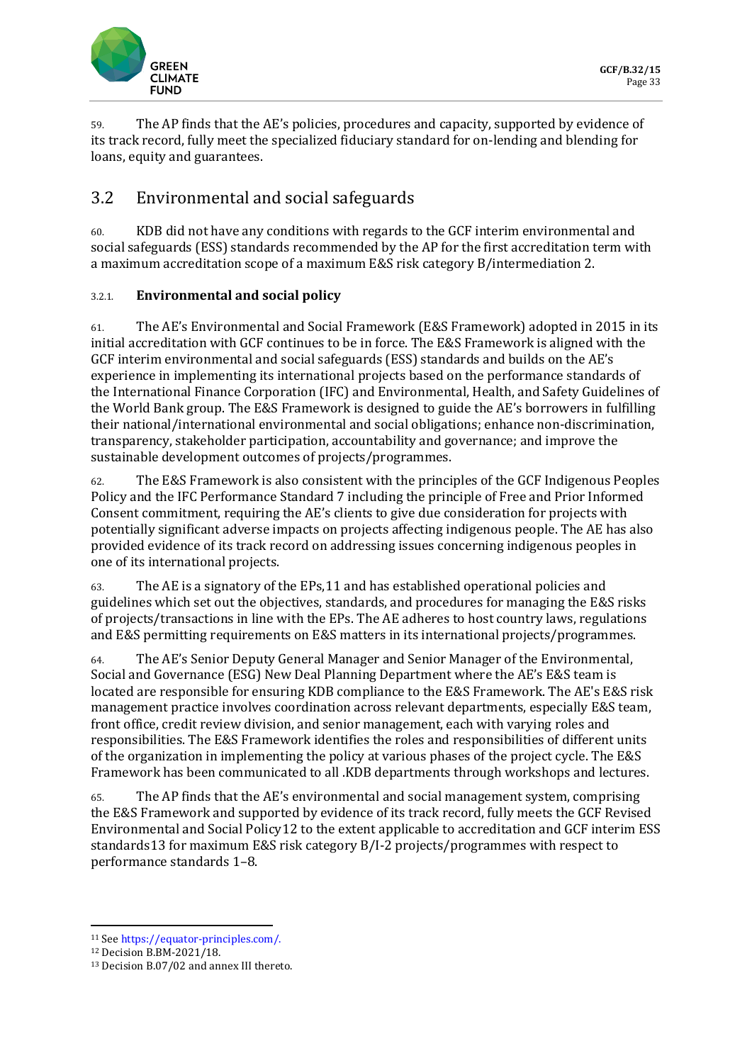

59. The AP finds that the AE's policies, procedures and capacity, supported by evidence of its track record, fully meet the specialized fiduciary standard for on-lending and blending for loans, equity and guarantees.

# 3.2 Environmental and social safeguards

60. KDB did not have any conditions with regards to the GCF interim environmental and social safeguards (ESS) standards recommended by the AP for the first accreditation term with a maximum accreditation scope of a maximum E&S risk category B/intermediation 2.

## 3.2.1. **Environmental and social policy**

61. The AE's Environmental and Social Framework (E&S Framework) adopted in 2015 in its initial accreditation with GCF continues to be in force. The E&S Framework is aligned with the GCF interim environmental and social safeguards (ESS) standards and builds on the AE's experience in implementing its international projects based on the performance standards of the International Finance Corporation (IFC) and Environmental, Health, and Safety Guidelines of the World Bank group. The E&S Framework is designed to guide the AE's borrowers in fulfilling their national/international environmental and social obligations; enhance non-discrimination, transparency, stakeholder participation, accountability and governance; and improve the sustainable development outcomes of projects/programmes.

62. The E&S Framework is also consistent with the principles of the GCF Indigenous Peoples Policy and the IFC Performance Standard 7 including the principle of Free and Prior Informed Consent commitment, requiring the AE's clients to give due consideration for projects with potentially significant adverse impacts on projects affecting indigenous people. The AE has also provided evidence of its track record on addressing issues concerning indigenous peoples in one of its international projects.

63. The AE is a signatory of the EPs,[11](#page-18-0) and has established operational policies and guidelines which set out the objectives, standards, and procedures for managing the E&S risks of projects/transactions in line with the EPs. The AE adheres to host country laws, regulations and E&S permitting requirements on E&S matters in its international projects/programmes.

64. The AE's Senior Deputy General Manager and Senior Manager of the Environmental, Social and Governance (ESG) New Deal Planning Department where the AE's E&S team is located are responsible for ensuring KDB compliance to the E&S Framework. The AE's E&S risk management practice involves coordination across relevant departments, especially E&S team, front office, credit review division, and senior management, each with varying roles and responsibilities. The E&S Framework identifies the roles and responsibilities of different units of the organization in implementing the policy at various phases of the project cycle. The E&S Framework has been communicated to all .KDB departments through workshops and lectures.

65. The AP finds that the AE's environmental and social management system, comprising the E&S Framework and supported by evidence of its track record, fully meets the GCF Revised Environmental and Social Policy[12](#page-18-1) to the extent applicable to accreditation and GCF interim ESS standards[13](#page-18-2) for maximum E&S risk category B/I-2 projects/programmes with respect to performance standards 1–8.

<span id="page-18-0"></span><sup>11</sup> Se[e https://equator-principles.com/.](https://equator-principles.com/)

<span id="page-18-1"></span><sup>12</sup> Decision B.BM-2021/18.

<span id="page-18-2"></span><sup>13</sup> Decision B.07/02 and annex III thereto.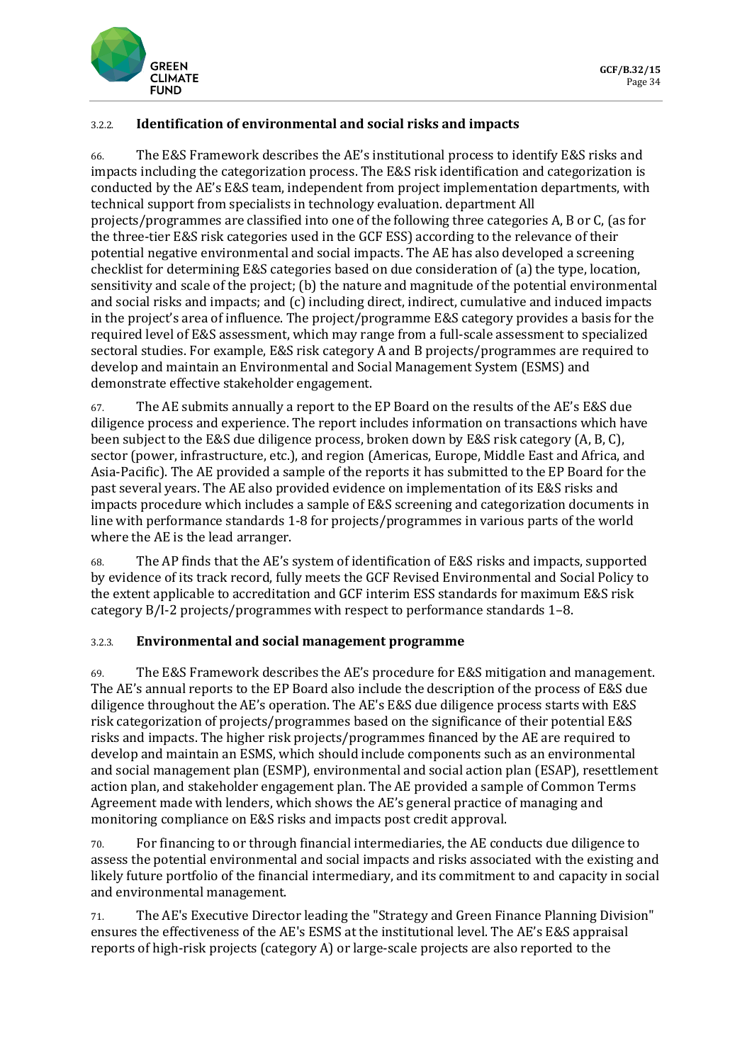

### 3.2.2. **Identification of environmental and social risks and impacts**

66. The E&S Framework describes the AE's institutional process to identify E&S risks and impacts including the categorization process. The E&S risk identification and categorization is conducted by the AE's E&S team, independent from project implementation departments, with technical support from specialists in technology evaluation. department All projects/programmes are classified into one of the following three categories A, B or C, (as for the three-tier E&S risk categories used in the GCF ESS) according to the relevance of their potential negative environmental and social impacts. The AE has also developed a screening checklist for determining E&S categories based on due consideration of (a) the type, location, sensitivity and scale of the project; (b) the nature and magnitude of the potential environmental and social risks and impacts; and (c) including direct, indirect, cumulative and induced impacts in the project's area of influence. The project/programme E&S category provides a basis for the required level of E&S assessment, which may range from a full-scale assessment to specialized sectoral studies. For example, E&S risk category A and B projects/programmes are required to develop and maintain an Environmental and Social Management System (ESMS) and demonstrate effective stakeholder engagement.

67. The AE submits annually a report to the EP Board on the results of the AE's E&S due diligence process and experience. The report includes information on transactions which have been subject to the E&S due diligence process, broken down by E&S risk category (A, B, C), sector (power, infrastructure, etc.), and region (Americas, Europe, Middle East and Africa, and Asia-Pacific). The AE provided a sample of the reports it has submitted to the EP Board for the past several years. The AE also provided evidence on implementation of its E&S risks and impacts procedure which includes a sample of E&S screening and categorization documents in line with performance standards 1-8 for projects/programmes in various parts of the world where the AE is the lead arranger.

68. The AP finds that the AE's system of identification of E&S risks and impacts, supported by evidence of its track record, fully meets the GCF Revised Environmental and Social Policy to the extent applicable to accreditation and GCF interim ESS standards for maximum E&S risk category B/I-2 projects/programmes with respect to performance standards 1–8.

### 3.2.3. **Environmental and social management programme**

69. The E&S Framework describes the AE's procedure for E&S mitigation and management. The AE's annual reports to the EP Board also include the description of the process of E&S due diligence throughout the AE's operation. The AE's E&S due diligence process starts with E&S risk categorization of projects/programmes based on the significance of their potential E&S risks and impacts. The higher risk projects/programmes financed by the AE are required to develop and maintain an ESMS, which should include components such as an environmental and social management plan (ESMP), environmental and social action plan (ESAP), resettlement action plan, and stakeholder engagement plan. The AE provided a sample of Common Terms Agreement made with lenders, which shows the AE's general practice of managing and monitoring compliance on E&S risks and impacts post credit approval.

70. For financing to or through financial intermediaries, the AE conducts due diligence to assess the potential environmental and social impacts and risks associated with the existing and likely future portfolio of the financial intermediary, and its commitment to and capacity in social and environmental management.

71. The AE's Executive Director leading the "Strategy and Green Finance Planning Division" ensures the effectiveness of the AE's ESMS at the institutional level. The AE's E&S appraisal reports of high-risk projects (category A) or large-scale projects are also reported to the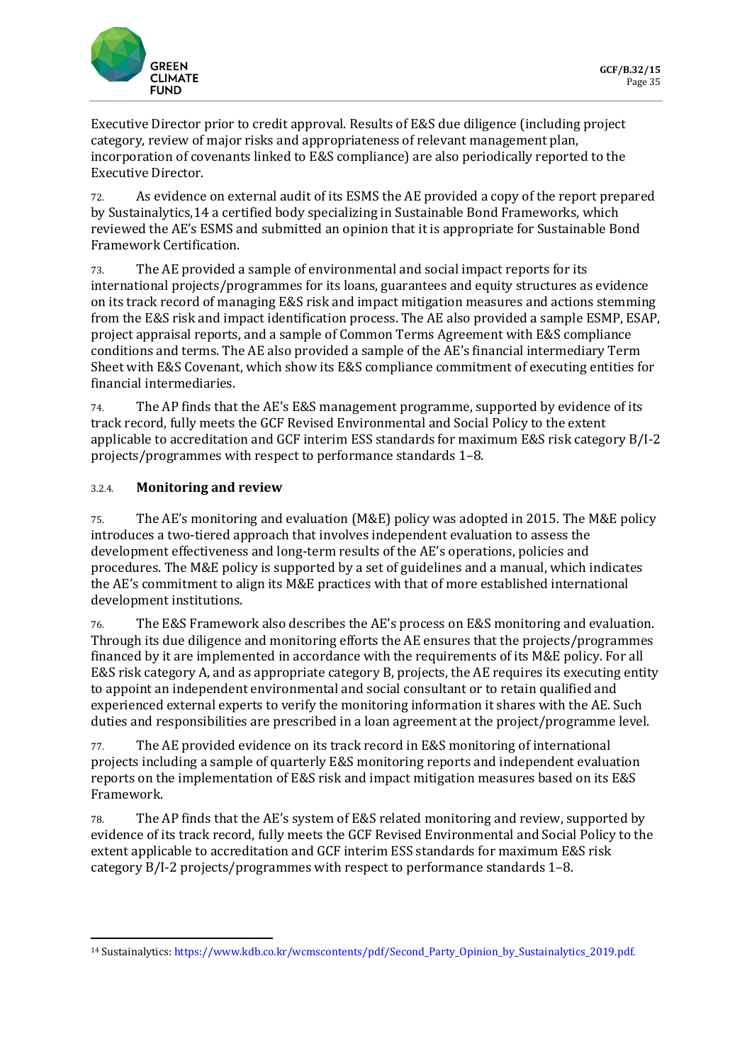

Executive Director prior to credit approval. Results of E&S due diligence (including project category, review of major risks and appropriateness of relevant management plan, incorporation of covenants linked to E&S compliance) are also periodically reported to the Executive Director.

72. As evidence on external audit of its ESMS the AE provided a copy of the report prepared by Sustainalytics,[14](#page-20-0) a certified body specializing in Sustainable Bond Frameworks, which reviewed the AE's ESMS and submitted an opinion that it is appropriate for Sustainable Bond Framework Certification.

73. The AE provided a sample of environmental and social impact reports for its international projects/programmes for its loans, guarantees and equity structures as evidence on its track record of managing E&S risk and impact mitigation measures and actions stemming from the E&S risk and impact identification process. The AE also provided a sample ESMP, ESAP, project appraisal reports, and a sample of Common Terms Agreement with E&S compliance conditions and terms. The AE also provided a sample of the AE's financial intermediary Term Sheet with E&S Covenant, which show its E&S compliance commitment of executing entities for financial intermediaries.

74. The AP finds that the AE's E&S management programme, supported by evidence of its track record, fully meets the GCF Revised Environmental and Social Policy to the extent applicable to accreditation and GCF interim ESS standards for maximum E&S risk category B/I-2 projects/programmes with respect to performance standards 1–8.

### 3.2.4. **Monitoring and review**

75. The AE's monitoring and evaluation (M&E) policy was adopted in 2015. The M&E policy introduces a two-tiered approach that involves independent evaluation to assess the development effectiveness and long-term results of the AE's operations, policies and procedures. The M&E policy is supported by a set of guidelines and a manual, which indicates the AE's commitment to align its M&E practices with that of more established international development institutions.

76. The E&S Framework also describes the AE's process on E&S monitoring and evaluation. Through its due diligence and monitoring efforts the AE ensures that the projects/programmes financed by it are implemented in accordance with the requirements of its M&E policy. For all E&S risk category A, and as appropriate category B, projects, the AE requires its executing entity to appoint an independent environmental and social consultant or to retain qualified and experienced external experts to verify the monitoring information it shares with the AE. Such duties and responsibilities are prescribed in a loan agreement at the project/programme level.

77. The AE provided evidence on its track record in E&S monitoring of international projects including a sample of quarterly E&S monitoring reports and independent evaluation reports on the implementation of E&S risk and impact mitigation measures based on its E&S Framework.

78. The AP finds that the AE's system of E&S related monitoring and review, supported by evidence of its track record, fully meets the GCF Revised Environmental and Social Policy to the extent applicable to accreditation and GCF interim ESS standards for maximum E&S risk category B/I-2 projects/programmes with respect to performance standards 1–8.

<span id="page-20-0"></span><sup>14</sup> Sustainalytics[: https://www.kdb.co.kr/wcmscontents/pdf/Second\\_Party\\_Opinion\\_by\\_Sustainalytics\\_2019.pdf.](https://www.kdb.co.kr/wcmscontents/pdf/Second_Party_Opinion_by_Sustainalytics_2019.pdf)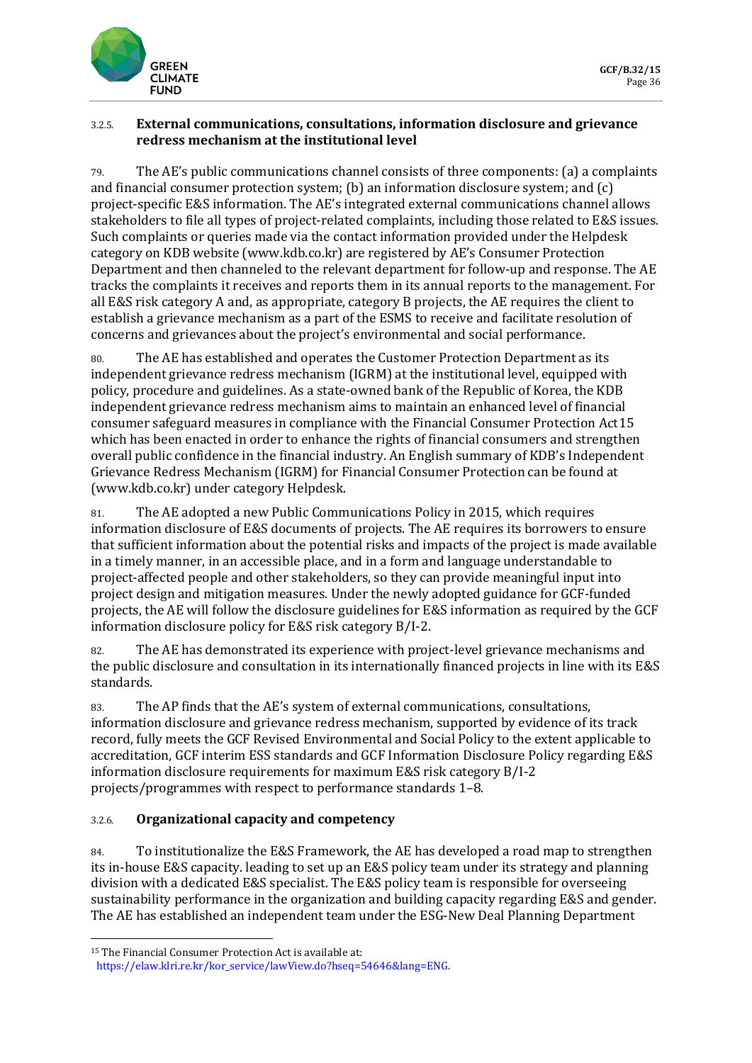

### 3.2.5. **External communications, consultations, information disclosure and grievance redress mechanism at the institutional level**

79. The AE's public communications channel consists of three components: (a) a complaints and financial consumer protection system; (b) an information disclosure system; and (c) project-specific E&S information. The AE's integrated external communications channel allows stakeholders to file all types of project-related complaints, including those related to E&S issues. Such complaints or queries made via the contact information provided under the Helpdesk category on KDB website [\(www.kdb.co.kr\)](http://www.kdb.co.kr/) are registered by AE's Consumer Protection Department and then channeled to the relevant department for follow-up and response. The AE tracks the complaints it receives and reports them in its annual reports to the management. For all E&S risk category A and, as appropriate, category B projects, the AE requires the client to establish a grievance mechanism as a part of the ESMS to receive and facilitate resolution of concerns and grievances about the project's environmental and social performance.

80. The AE has established and operates the Customer Protection Department as its independent grievance redress mechanism (IGRM) at the institutional level, equipped with policy, procedure and guidelines. As a state-owned bank of the Republic of Korea, the KDB independent grievance redress mechanism aims to maintain an enhanced level of financial consumer safeguard measures in compliance with the Financial Consumer Protection Act[15](#page-21-0) which has been enacted in order to enhance the rights of financial consumers and strengthen overall public confidence in the financial industry. An English summary of KDB's Independent Grievance Redress Mechanism (IGRM) for Financial Consumer Protection can be found at (www.kdb.co.kr) under category Helpdesk.

81. The AE adopted a new Public Communications Policy in 2015, which requires information disclosure of E&S documents of projects. The AE requires its borrowers to ensure that sufficient information about the potential risks and impacts of the project is made available in a timely manner, in an accessible place, and in a form and language understandable to project-affected people and other stakeholders, so they can provide meaningful input into project design and mitigation measures. Under the newly adopted guidance for GCF-funded projects, the AE will follow the disclosure guidelines for E&S information as required by the GCF information disclosure policy for E&S risk category B/I-2.

82. The AE has demonstrated its experience with project-level grievance mechanisms and the public disclosure and consultation in its internationally financed projects in line with its E&S standards.

83. The AP finds that the AE's system of external communications, consultations, information disclosure and grievance redress mechanism, supported by evidence of its track record, fully meets the GCF Revised Environmental and Social Policy to the extent applicable to accreditation, GCF interim ESS standards and GCF Information Disclosure Policy regarding E&S information disclosure requirements for maximum E&S risk category B/I-2 projects/programmes with respect to performance standards 1–8.

### 3.2.6. **Organizational capacity and competency**

84. To institutionalize the E&S Framework, the AE has developed a road map to strengthen its in-house E&S capacity. leading to set up an E&S policy team under its strategy and planning division with a dedicated E&S specialist. The E&S policy team is responsible for overseeing sustainability performance in the organization and building capacity regarding E&S and gender. The AE has established an independent team under the ESG-New Deal Planning Department

<span id="page-21-0"></span><sup>15</sup> The Financial Consumer Protection Act is available at:

[https://elaw.klri.re.kr/kor\\_service/lawView.do?hseq=54646&lang=ENG.](https://elaw.klri.re.kr/kor_service/lawView.do?hseq=54646&lang=ENG)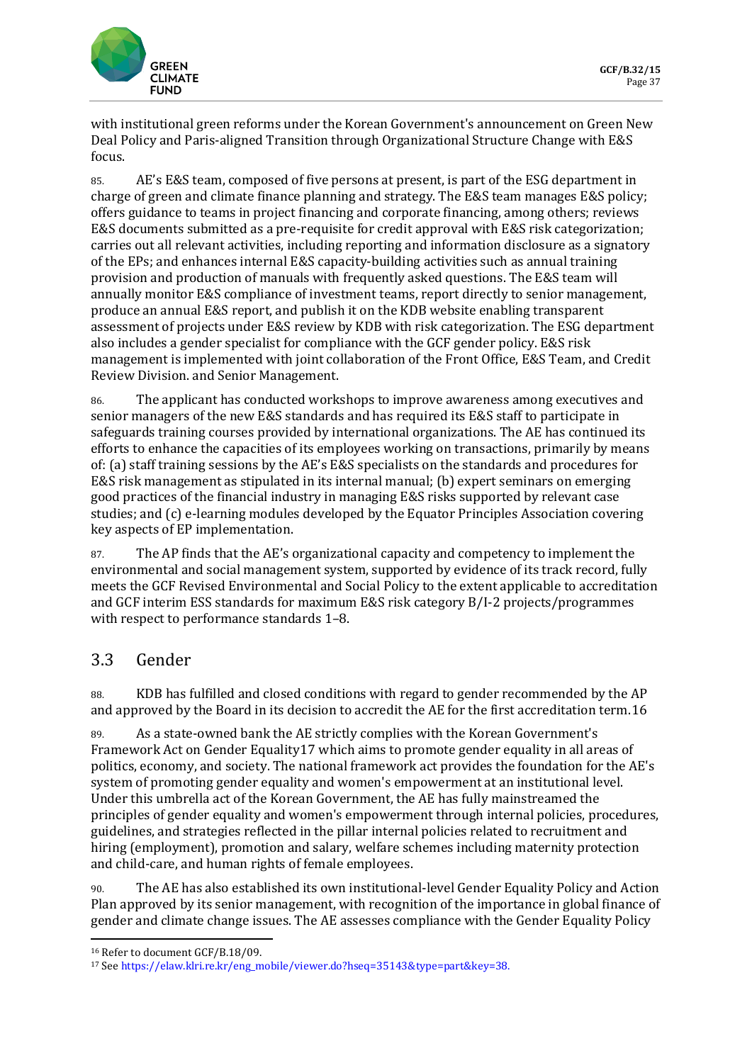

with institutional green reforms under the Korean Government's announcement on Green New Deal Policy and Paris-aligned Transition through Organizational Structure Change with E&S focus.

85. AE's E&S team, composed of five persons at present, is part of the ESG department in charge of green and climate finance planning and strategy. The E&S team manages E&S policy; offers guidance to teams in project financing and corporate financing, among others; reviews E&S documents submitted as a pre-requisite for credit approval with E&S risk categorization; carries out all relevant activities, including reporting and information disclosure as a signatory of the EPs; and enhances internal E&S capacity-building activities such as annual training provision and production of manuals with frequently asked questions. The E&S team will annually monitor E&S compliance of investment teams, report directly to senior management, produce an annual E&S report, and publish it on the KDB website enabling transparent assessment of projects under E&S review by KDB with risk categorization. The ESG department also includes a gender specialist for compliance with the GCF gender policy. E&S risk management is implemented with joint collaboration of the Front Office, E&S Team, and Credit Review Division. and Senior Management.

86. The applicant has conducted workshops to improve awareness among executives and senior managers of the new E&S standards and has required its E&S staff to participate in safeguards training courses provided by international organizations. The AE has continued its efforts to enhance the capacities of its employees working on transactions, primarily by means of: (a) staff training sessions by the AE's E&S specialists on the standards and procedures for E&S risk management as stipulated in its internal manual; (b) expert seminars on emerging good practices of the financial industry in managing E&S risks supported by relevant case studies; and (c) e-learning modules developed by the Equator Principles Association covering key aspects of EP implementation.

87. The AP finds that the AE's organizational capacity and competency to implement the environmental and social management system, supported by evidence of its track record, fully meets the GCF Revised Environmental and Social Policy to the extent applicable to accreditation and GCF interim ESS standards for maximum E&S risk category B/I-2 projects/programmes with respect to performance standards 1–8.

# 3.3 Gender

88. KDB has fulfilled and closed conditions with regard to gender recommended by the AP and approved by the Board in its decision to accredit the AE for the first accreditation term.[16](#page-22-0)

89. As a state-owned bank the AE strictly complies with the Korean Government's Framework Act on Gender Equality[17](#page-22-1) which aims to promote gender equality in all areas of politics, economy, and society. The national framework act provides the foundation for the AE's system of promoting gender equality and women's empowerment at an institutional level. Under this umbrella act of the Korean Government, the AE has fully mainstreamed the principles of gender equality and women's empowerment through internal policies, procedures, guidelines, and strategies reflected in the pillar internal policies related to recruitment and hiring (employment), promotion and salary, welfare schemes including maternity protection and child-care, and human rights of female employees.

90. The AE has also established its own institutional-level Gender Equality Policy and Action Plan approved by its senior management, with recognition of the importance in global finance of gender and climate change issues. The AE assesses compliance with the Gender Equality Policy

<span id="page-22-0"></span><sup>16</sup> Refer to document GCF/B.18/09.

<span id="page-22-1"></span><sup>17</sup> Se[e https://elaw.klri.re.kr/eng\\_mobile/viewer.do?hseq=35143&type=part&key=38.](https://elaw.klri.re.kr/eng_mobile/viewer.do?hseq=35143&type=part&key=38)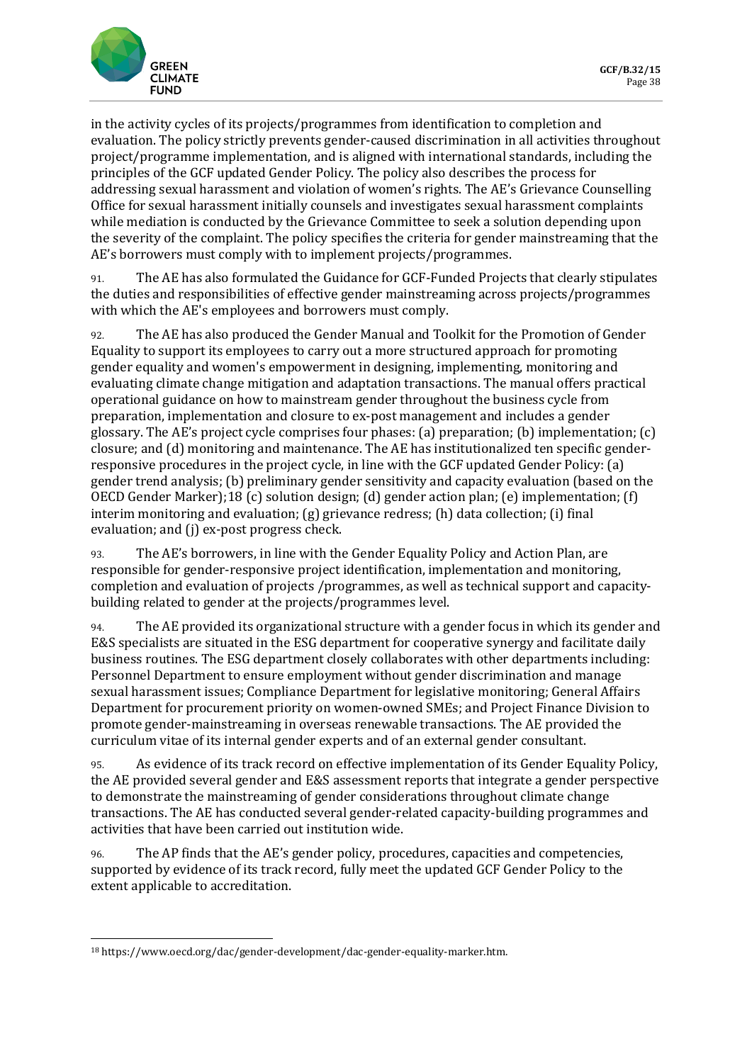

in the activity cycles of its projects/programmes from identification to completion and evaluation. The policy strictly prevents gender-caused discrimination in all activities throughout project/programme implementation, and is aligned with international standards, including the principles of the GCF updated Gender Policy. The policy also describes the process for addressing sexual harassment and violation of women's rights. The AE's Grievance Counselling Office for sexual harassment initially counsels and investigates sexual harassment complaints while mediation is conducted by the Grievance Committee to seek a solution depending upon the severity of the complaint. The policy specifies the criteria for gender mainstreaming that the AE's borrowers must comply with to implement projects/programmes.

91. The AE has also formulated the Guidance for GCF-Funded Projects that clearly stipulates the duties and responsibilities of effective gender mainstreaming across projects/programmes with which the AE's employees and borrowers must comply.

92. The AE has also produced the Gender Manual and Toolkit for the Promotion of Gender Equality to support its employees to carry out a more structured approach for promoting gender equality and women's empowerment in designing, implementing, monitoring and evaluating climate change mitigation and adaptation transactions. The manual offers practical operational guidance on how to mainstream gender throughout the business cycle from preparation, implementation and closure to ex-post management and includes a gender glossary. The AE's project cycle comprises four phases: (a) preparation; (b) implementation; (c) closure; and (d) monitoring and maintenance. The AE has institutionalized ten specific genderresponsive procedures in the project cycle, in line with the GCF updated Gender Policy: (a) gender trend analysis; (b) preliminary gender sensitivity and capacity evaluation (based on the OECD Gender Marker);[18](#page-23-0) (c) solution design; (d) gender action plan; (e) implementation; (f) interim monitoring and evaluation; (g) grievance redress; (h) data collection; (i) final evaluation; and (j) ex-post progress check.

93. The AE's borrowers, in line with the Gender Equality Policy and Action Plan, are responsible for gender-responsive project identification, implementation and monitoring, completion and evaluation of projects /programmes, as well as technical support and capacitybuilding related to gender at the projects/programmes level.

94. The AE provided its organizational structure with a gender focus in which its gender and E&S specialists are situated in the ESG department for cooperative synergy and facilitate daily business routines. The ESG department closely collaborates with other departments including: Personnel Department to ensure employment without gender discrimination and manage sexual harassment issues; Compliance Department for legislative monitoring; General Affairs Department for procurement priority on women-owned SMEs; and Project Finance Division to promote gender-mainstreaming in overseas renewable transactions. The AE provided the curriculum vitae of its internal gender experts and of an external gender consultant.

95. As evidence of its track record on effective implementation of its Gender Equality Policy, the AE provided several gender and E&S assessment reports that integrate a gender perspective to demonstrate the mainstreaming of gender considerations throughout climate change transactions. The AE has conducted several gender-related capacity-building programmes and activities that have been carried out institution wide.

96. The AP finds that the AE's gender policy, procedures, capacities and competencies, supported by evidence of its track record, fully meet the updated GCF Gender Policy to the extent applicable to accreditation.

<span id="page-23-0"></span><sup>18</sup> https://www.oecd.org/dac/gender-development/dac-gender-equality-marker.htm.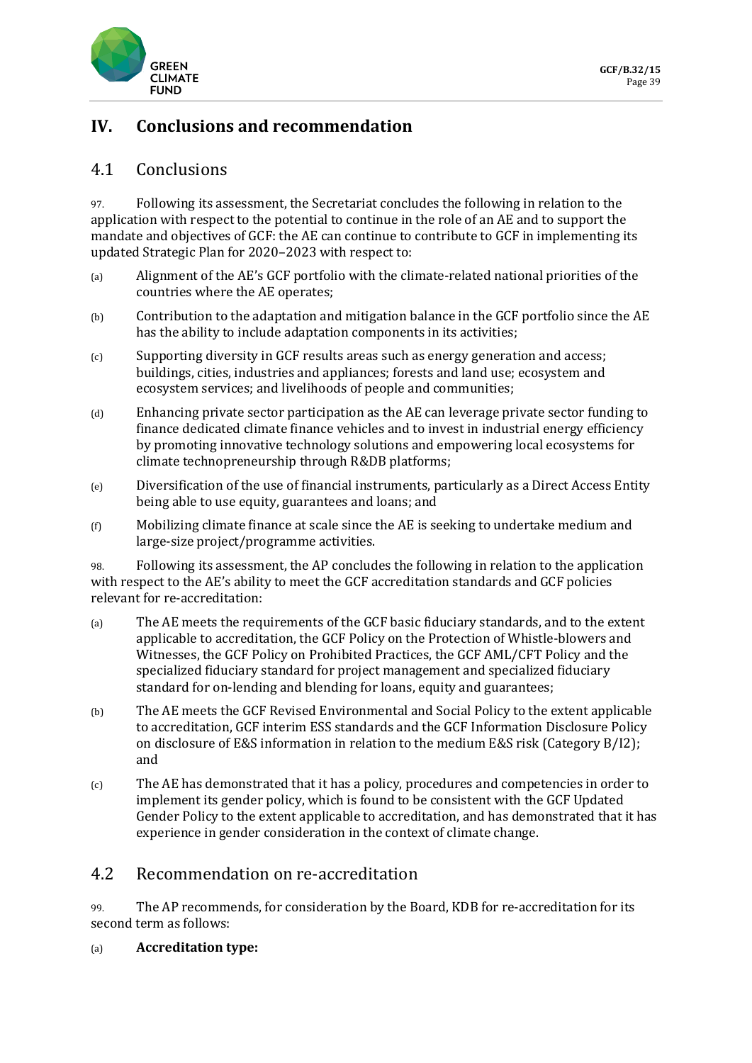

# **IV. Conclusions and recommendation**

## 4.1 Conclusions

97. Following its assessment, the Secretariat concludes the following in relation to the application with respect to the potential to continue in the role of an AE and to support the mandate and objectives of GCF: the AE can continue to contribute to GCF in implementing its updated Strategic Plan for 2020–2023 with respect to:

- (a) Alignment of the AE's GCF portfolio with the climate-related national priorities of the countries where the AE operates;
- (b) Contribution to the adaptation and mitigation balance in the GCF portfolio since the AE has the ability to include adaptation components in its activities;
- (c) Supporting diversity in GCF results areas such as energy generation and access; buildings, cities, industries and appliances; forests and land use; ecosystem and ecosystem services; and livelihoods of people and communities;
- (d) Enhancing private sector participation as the AE can leverage private sector funding to finance dedicated climate finance vehicles and to invest in industrial energy efficiency by promoting innovative technology solutions and empowering local ecosystems for climate technopreneurship through R&DB platforms;
- (e) Diversification of the use of financial instruments, particularly as a Direct Access Entity being able to use equity, guarantees and loans; and
- (f) Mobilizing climate finance at scale since the AE is seeking to undertake medium and large-size project/programme activities.

98. Following its assessment, the AP concludes the following in relation to the application with respect to the AE's ability to meet the GCF accreditation standards and GCF policies relevant for re-accreditation:

- (a) The AE meets the requirements of the GCF basic fiduciary standards, and to the extent applicable to accreditation, the GCF Policy on the Protection of Whistle-blowers and Witnesses, the GCF Policy on Prohibited Practices, the GCF AML/CFT Policy and the specialized fiduciary standard for project management and specialized fiduciary standard for on-lending and blending for loans, equity and guarantees;
- (b) The AE meets the GCF Revised Environmental and Social Policy to the extent applicable to accreditation, GCF interim ESS standards and the GCF Information Disclosure Policy on disclosure of E&S information in relation to the medium E&S risk (Category B/I2); and
- (c) The AE has demonstrated that it has a policy, procedures and competencies in order to implement its gender policy, which is found to be consistent with the GCF Updated Gender Policy to the extent applicable to accreditation, and has demonstrated that it has experience in gender consideration in the context of climate change.

## 4.2 Recommendation on re-accreditation

99. The AP recommends, for consideration by the Board, KDB for re-accreditation for its second term as follows:

(a) **Accreditation type:**